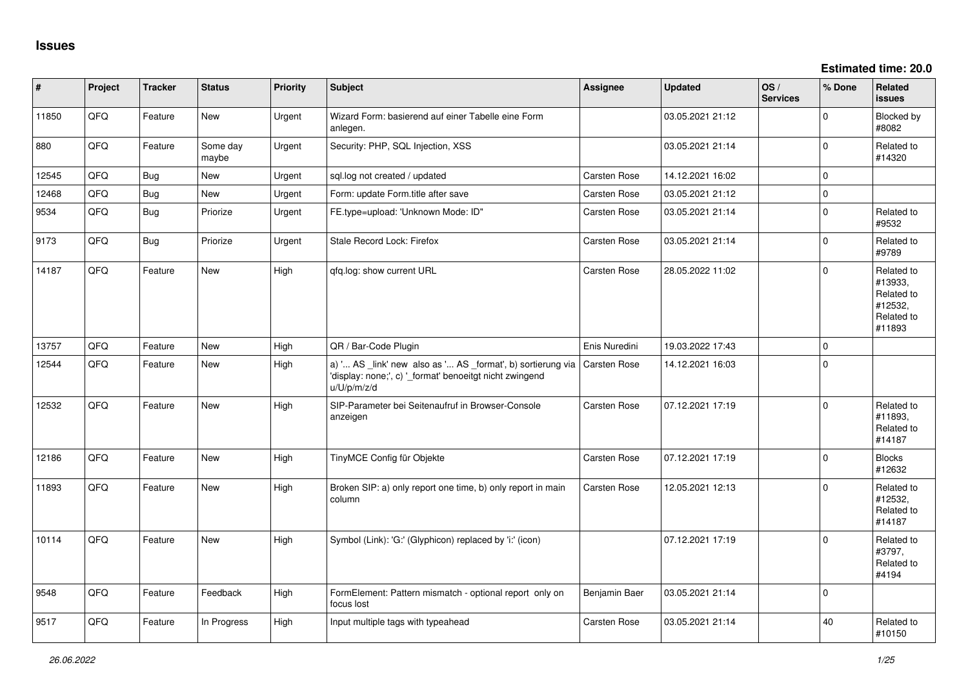**Estimated time: 20.0**

| #     | Project | <b>Tracker</b> | <b>Status</b>     | <b>Priority</b> | <b>Subject</b>                                                                                                                        | <b>Assignee</b>     | <b>Updated</b>   | OS/<br><b>Services</b> | % Done      | Related<br><b>issues</b>                                               |
|-------|---------|----------------|-------------------|-----------------|---------------------------------------------------------------------------------------------------------------------------------------|---------------------|------------------|------------------------|-------------|------------------------------------------------------------------------|
| 11850 | QFQ     | Feature        | New               | Urgent          | Wizard Form: basierend auf einer Tabelle eine Form<br>anlegen.                                                                        |                     | 03.05.2021 21:12 |                        | $\mathbf 0$ | Blocked by<br>#8082                                                    |
| 880   | QFQ     | Feature        | Some day<br>maybe | Urgent          | Security: PHP, SQL Injection, XSS                                                                                                     |                     | 03.05.2021 21:14 |                        | $\mathbf 0$ | Related to<br>#14320                                                   |
| 12545 | QFQ     | Bug            | <b>New</b>        | Urgent          | sql.log not created / updated                                                                                                         | <b>Carsten Rose</b> | 14.12.2021 16:02 |                        | $\mathbf 0$ |                                                                        |
| 12468 | QFQ     | <b>Bug</b>     | New               | Urgent          | Form: update Form.title after save                                                                                                    | Carsten Rose        | 03.05.2021 21:12 |                        | $\mathsf 0$ |                                                                        |
| 9534  | QFQ     | Bug            | Priorize          | Urgent          | FE.type=upload: 'Unknown Mode: ID"                                                                                                    | Carsten Rose        | 03.05.2021 21:14 |                        | $\mathbf 0$ | Related to<br>#9532                                                    |
| 9173  | QFQ     | Bug            | Priorize          | Urgent          | Stale Record Lock: Firefox                                                                                                            | <b>Carsten Rose</b> | 03.05.2021 21:14 |                        | $\mathbf 0$ | Related to<br>#9789                                                    |
| 14187 | QFQ     | Feature        | <b>New</b>        | High            | qfq.log: show current URL                                                                                                             | Carsten Rose        | 28.05.2022 11:02 |                        | $\mathbf 0$ | Related to<br>#13933,<br>Related to<br>#12532,<br>Related to<br>#11893 |
| 13757 | QFQ     | Feature        | <b>New</b>        | High            | QR / Bar-Code Plugin                                                                                                                  | Enis Nuredini       | 19.03.2022 17:43 |                        | $\mathbf 0$ |                                                                        |
| 12544 | QFQ     | Feature        | <b>New</b>        | High            | a) ' AS _link' new also as ' AS _format', b) sortierung via<br>'display: none;', c) '_format' benoeitgt nicht zwingend<br>u/U/p/m/z/d | <b>Carsten Rose</b> | 14.12.2021 16:03 |                        | $\mathbf 0$ |                                                                        |
| 12532 | QFQ     | Feature        | New               | High            | SIP-Parameter bei Seitenaufruf in Browser-Console<br>anzeigen                                                                         | Carsten Rose        | 07.12.2021 17:19 |                        | $\mathbf 0$ | Related to<br>#11893,<br>Related to<br>#14187                          |
| 12186 | QFQ     | Feature        | <b>New</b>        | High            | TinyMCE Config für Objekte                                                                                                            | <b>Carsten Rose</b> | 07.12.2021 17:19 |                        | $\mathbf 0$ | <b>Blocks</b><br>#12632                                                |
| 11893 | QFQ     | Feature        | New               | High            | Broken SIP: a) only report one time, b) only report in main<br>column                                                                 | Carsten Rose        | 12.05.2021 12:13 |                        | $\Omega$    | Related to<br>#12532,<br>Related to<br>#14187                          |
| 10114 | QFQ     | Feature        | New               | High            | Symbol (Link): 'G:' (Glyphicon) replaced by 'i:' (icon)                                                                               |                     | 07.12.2021 17:19 |                        | $\Omega$    | Related to<br>#3797,<br>Related to<br>#4194                            |
| 9548  | QFQ     | Feature        | Feedback          | High            | FormElement: Pattern mismatch - optional report only on<br>focus lost                                                                 | Benjamin Baer       | 03.05.2021 21:14 |                        | $\mathbf 0$ |                                                                        |
| 9517  | QFQ     | Feature        | In Progress       | High            | Input multiple tags with typeahead                                                                                                    | Carsten Rose        | 03.05.2021 21:14 |                        | 40          | Related to<br>#10150                                                   |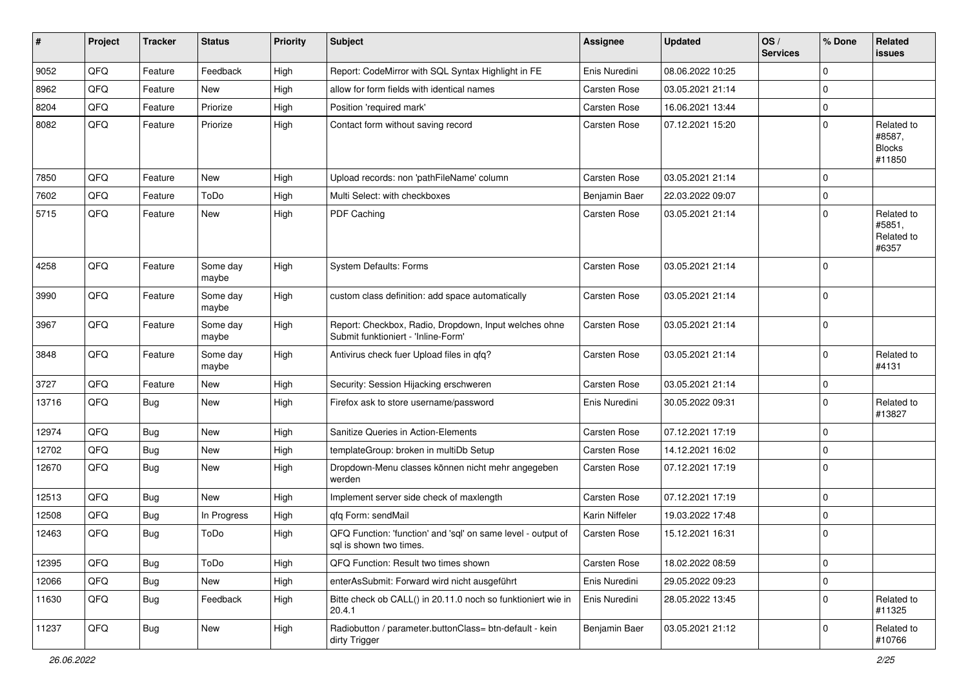| ∦     | Project | <b>Tracker</b> | <b>Status</b>     | <b>Priority</b> | <b>Subject</b>                                                                               | <b>Assignee</b> | <b>Updated</b>   | OS/<br><b>Services</b> | % Done      | Related<br>issues                               |
|-------|---------|----------------|-------------------|-----------------|----------------------------------------------------------------------------------------------|-----------------|------------------|------------------------|-------------|-------------------------------------------------|
| 9052  | QFQ     | Feature        | Feedback          | High            | Report: CodeMirror with SQL Syntax Highlight in FE                                           | Enis Nuredini   | 08.06.2022 10:25 |                        | $\mathbf 0$ |                                                 |
| 8962  | QFQ     | Feature        | New               | High            | allow for form fields with identical names                                                   | Carsten Rose    | 03.05.2021 21:14 |                        | $\mathbf 0$ |                                                 |
| 8204  | QFQ     | Feature        | Priorize          | High            | Position 'required mark'                                                                     | Carsten Rose    | 16.06.2021 13:44 |                        | $\mathbf 0$ |                                                 |
| 8082  | QFQ     | Feature        | Priorize          | High            | Contact form without saving record                                                           | Carsten Rose    | 07.12.2021 15:20 |                        | $\Omega$    | Related to<br>#8587,<br><b>Blocks</b><br>#11850 |
| 7850  | QFQ     | Feature        | New               | High            | Upload records: non 'pathFileName' column                                                    | Carsten Rose    | 03.05.2021 21:14 |                        | $\Omega$    |                                                 |
| 7602  | QFQ     | Feature        | ToDo              | High            | Multi Select: with checkboxes                                                                | Benjamin Baer   | 22.03.2022 09:07 |                        | $\mathbf 0$ |                                                 |
| 5715  | QFQ     | Feature        | New               | High            | PDF Caching                                                                                  | Carsten Rose    | 03.05.2021 21:14 |                        | $\mathbf 0$ | Related to<br>#5851,<br>Related to<br>#6357     |
| 4258  | QFQ     | Feature        | Some day<br>maybe | High            | System Defaults: Forms                                                                       | Carsten Rose    | 03.05.2021 21:14 |                        | $\Omega$    |                                                 |
| 3990  | QFQ     | Feature        | Some day<br>maybe | High            | custom class definition: add space automatically                                             | Carsten Rose    | 03.05.2021 21:14 |                        | $\Omega$    |                                                 |
| 3967  | QFQ     | Feature        | Some day<br>maybe | High            | Report: Checkbox, Radio, Dropdown, Input welches ohne<br>Submit funktioniert - 'Inline-Form' | Carsten Rose    | 03.05.2021 21:14 |                        | $\Omega$    |                                                 |
| 3848  | QFQ     | Feature        | Some day<br>maybe | High            | Antivirus check fuer Upload files in qfq?                                                    | Carsten Rose    | 03.05.2021 21:14 |                        | $\mathbf 0$ | Related to<br>#4131                             |
| 3727  | QFQ     | Feature        | New               | High            | Security: Session Hijacking erschweren                                                       | Carsten Rose    | 03.05.2021 21:14 |                        | $\mathbf 0$ |                                                 |
| 13716 | QFQ     | Bug            | New               | High            | Firefox ask to store username/password                                                       | Enis Nuredini   | 30.05.2022 09:31 |                        | $\Omega$    | Related to<br>#13827                            |
| 12974 | QFQ     | Bug            | New               | High            | Sanitize Queries in Action-Elements                                                          | Carsten Rose    | 07.12.2021 17:19 |                        | $\mathbf 0$ |                                                 |
| 12702 | QFQ     | <b>Bug</b>     | New               | High            | templateGroup: broken in multiDb Setup                                                       | Carsten Rose    | 14.12.2021 16:02 |                        | $\mathbf 0$ |                                                 |
| 12670 | QFQ     | Bug            | New               | High            | Dropdown-Menu classes können nicht mehr angegeben<br>werden                                  | Carsten Rose    | 07.12.2021 17:19 |                        | $\mathbf 0$ |                                                 |
| 12513 | QFQ     | Bug            | New               | High            | Implement server side check of maxlength                                                     | Carsten Rose    | 07.12.2021 17:19 |                        | $\mathbf 0$ |                                                 |
| 12508 | QFQ     | <b>Bug</b>     | In Progress       | High            | qfq Form: sendMail                                                                           | Karin Niffeler  | 19.03.2022 17:48 |                        | $\mathbf 0$ |                                                 |
| 12463 | QFQ     | Bug            | ToDo              | High            | QFQ Function: 'function' and 'sql' on same level - output of<br>sql is shown two times.      | Carsten Rose    | 15.12.2021 16:31 |                        | $\mathbf 0$ |                                                 |
| 12395 | QFQ     | <b>Bug</b>     | ToDo              | High            | QFQ Function: Result two times shown                                                         | Carsten Rose    | 18.02.2022 08:59 |                        | $\mathbf 0$ |                                                 |
| 12066 | QFQ     | <b>Bug</b>     | New               | High            | enterAsSubmit: Forward wird nicht ausgeführt                                                 | Enis Nuredini   | 29.05.2022 09:23 |                        | $\mathbf 0$ |                                                 |
| 11630 | QFQ     | <b>Bug</b>     | Feedback          | High            | Bitte check ob CALL() in 20.11.0 noch so funktioniert wie in<br>20.4.1                       | Enis Nuredini   | 28.05.2022 13:45 |                        | $\pmb{0}$   | Related to<br>#11325                            |
| 11237 | QFQ     | Bug            | New               | High            | Radiobutton / parameter.buttonClass= btn-default - kein<br>dirty Trigger                     | Benjamin Baer   | 03.05.2021 21:12 |                        | $\mathbf 0$ | Related to<br>#10766                            |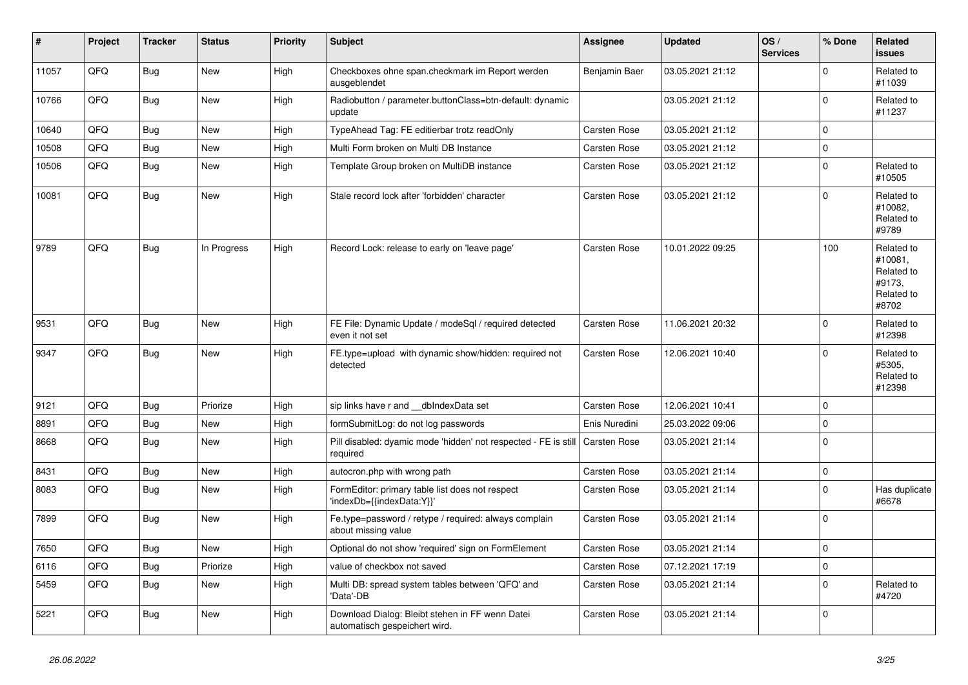| $\vert$ # | Project | <b>Tracker</b> | <b>Status</b> | <b>Priority</b> | <b>Subject</b>                                                                   | <b>Assignee</b>     | <b>Updated</b>   | OS/<br><b>Services</b> | % Done         | Related<br><b>issues</b>                                             |
|-----------|---------|----------------|---------------|-----------------|----------------------------------------------------------------------------------|---------------------|------------------|------------------------|----------------|----------------------------------------------------------------------|
| 11057     | QFQ     | Bug            | New           | High            | Checkboxes ohne span.checkmark im Report werden<br>ausgeblendet                  | Benjamin Baer       | 03.05.2021 21:12 |                        | $\Omega$       | Related to<br>#11039                                                 |
| 10766     | QFQ     | Bug            | <b>New</b>    | High            | Radiobutton / parameter.buttonClass=btn-default: dynamic<br>update               |                     | 03.05.2021 21:12 |                        | $\mathbf 0$    | Related to<br>#11237                                                 |
| 10640     | QFQ     | <b>Bug</b>     | New           | High            | TypeAhead Tag: FE editierbar trotz readOnly                                      | Carsten Rose        | 03.05.2021 21:12 |                        | $\Omega$       |                                                                      |
| 10508     | QFQ     | <b>Bug</b>     | New           | High            | Multi Form broken on Multi DB Instance                                           | Carsten Rose        | 03.05.2021 21:12 |                        | 0              |                                                                      |
| 10506     | QFQ     | Bug            | New           | High            | Template Group broken on MultiDB instance                                        | Carsten Rose        | 03.05.2021 21:12 |                        | $\mathbf 0$    | Related to<br>#10505                                                 |
| 10081     | QFQ     | Bug            | <b>New</b>    | High            | Stale record lock after 'forbidden' character                                    | <b>Carsten Rose</b> | 03.05.2021 21:12 |                        | $\Omega$       | Related to<br>#10082.<br>Related to<br>#9789                         |
| 9789      | QFQ     | Bug            | In Progress   | High            | Record Lock: release to early on 'leave page'                                    | <b>Carsten Rose</b> | 10.01.2022 09:25 |                        | 100            | Related to<br>#10081.<br>Related to<br>#9173.<br>Related to<br>#8702 |
| 9531      | QFQ     | Bug            | <b>New</b>    | High            | FE File: Dynamic Update / modeSql / required detected<br>even it not set         | <b>Carsten Rose</b> | 11.06.2021 20:32 |                        | $\Omega$       | Related to<br>#12398                                                 |
| 9347      | QFQ     | Bug            | New           | High            | FE.type=upload with dynamic show/hidden: required not<br>detected                | <b>Carsten Rose</b> | 12.06.2021 10:40 |                        | $\Omega$       | Related to<br>#5305,<br>Related to<br>#12398                         |
| 9121      | QFQ     | <b>Bug</b>     | Priorize      | High            | sip links have r and __dbIndexData set                                           | <b>Carsten Rose</b> | 12.06.2021 10:41 |                        | 0              |                                                                      |
| 8891      | QFQ     | Bug            | <b>New</b>    | High            | formSubmitLog: do not log passwords                                              | Enis Nuredini       | 25.03.2022 09:06 |                        | $\Omega$       |                                                                      |
| 8668      | QFQ     | <b>Bug</b>     | New           | High            | Pill disabled: dyamic mode 'hidden' not respected - FE is still<br>required      | Carsten Rose        | 03.05.2021 21:14 |                        | $\overline{0}$ |                                                                      |
| 8431      | QFQ     | Bug            | <b>New</b>    | High            | autocron.php with wrong path                                                     | <b>Carsten Rose</b> | 03.05.2021 21:14 |                        | $\pmb{0}$      |                                                                      |
| 8083      | QFQ     | Bug            | New           | High            | FormEditor: primary table list does not respect<br>'indexDb={{indexData:Y}}'     | Carsten Rose        | 03.05.2021 21:14 |                        | $\overline{0}$ | Has duplicate<br>#6678                                               |
| 7899      | QFQ     | Bug            | <b>New</b>    | High            | Fe.type=password / retype / required: always complain<br>about missing value     | Carsten Rose        | 03.05.2021 21:14 |                        | $\mathbf 0$    |                                                                      |
| 7650      | QFQ     | Bug            | New           | High            | Optional do not show 'required' sign on FormElement                              | Carsten Rose        | 03.05.2021 21:14 |                        | $\Omega$       |                                                                      |
| 6116      | QFQ     | Bug            | Priorize      | High            | value of checkbox not saved                                                      | <b>Carsten Rose</b> | 07.12.2021 17:19 |                        | 0              |                                                                      |
| 5459      | QFQ     | <b>Bug</b>     | New           | High            | Multi DB: spread system tables between 'QFQ' and<br>'Data'-DB                    | Carsten Rose        | 03.05.2021 21:14 |                        | $\mathbf 0$    | Related to<br>#4720                                                  |
| 5221      | QFQ     | Bug            | New           | High            | Download Dialog: Bleibt stehen in FF wenn Datei<br>automatisch gespeichert wird. | <b>Carsten Rose</b> | 03.05.2021 21:14 |                        | 0              |                                                                      |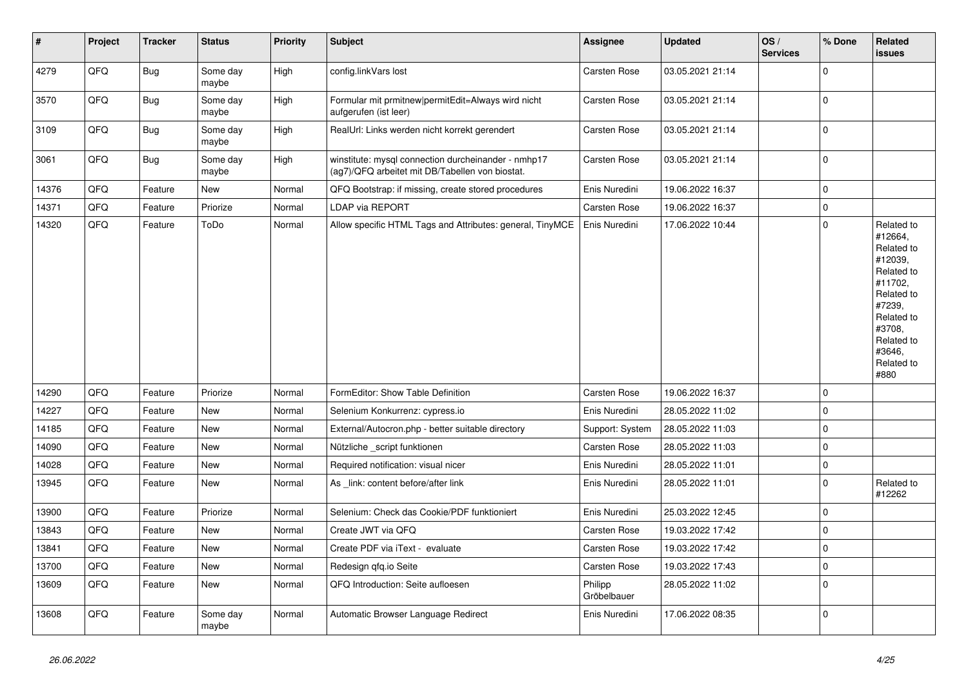| $\vert$ # | <b>Project</b> | <b>Tracker</b> | <b>Status</b>     | <b>Priority</b> | <b>Subject</b>                                                                                         | Assignee               | <b>Updated</b>   | OS/<br><b>Services</b> | % Done      | Related<br><b>issues</b>                                                                                                                                              |
|-----------|----------------|----------------|-------------------|-----------------|--------------------------------------------------------------------------------------------------------|------------------------|------------------|------------------------|-------------|-----------------------------------------------------------------------------------------------------------------------------------------------------------------------|
| 4279      | QFQ            | <b>Bug</b>     | Some day<br>maybe | High            | config.linkVars lost                                                                                   | Carsten Rose           | 03.05.2021 21:14 |                        | $\mathbf 0$ |                                                                                                                                                                       |
| 3570      | QFQ            | Bug            | Some day<br>maybe | High            | Formular mit prmitnew permitEdit=Always wird nicht<br>aufgerufen (ist leer)                            | <b>Carsten Rose</b>    | 03.05.2021 21:14 |                        | $\pmb{0}$   |                                                                                                                                                                       |
| 3109      | QFQ            | Bug            | Some day<br>maybe | High            | RealUrl: Links werden nicht korrekt gerendert                                                          | <b>Carsten Rose</b>    | 03.05.2021 21:14 |                        | $\mathbf 0$ |                                                                                                                                                                       |
| 3061      | QFQ            | Bug            | Some day<br>maybe | High            | winstitute: mysql connection durcheinander - nmhp17<br>(ag7)/QFQ arbeitet mit DB/Tabellen von biostat. | Carsten Rose           | 03.05.2021 21:14 |                        | $\mathbf 0$ |                                                                                                                                                                       |
| 14376     | QFQ            | Feature        | <b>New</b>        | Normal          | QFQ Bootstrap: if missing, create stored procedures                                                    | Enis Nuredini          | 19.06.2022 16:37 |                        | $\pmb{0}$   |                                                                                                                                                                       |
| 14371     | QFQ            | Feature        | Priorize          | Normal          | <b>LDAP via REPORT</b>                                                                                 | <b>Carsten Rose</b>    | 19.06.2022 16:37 |                        | $\pmb{0}$   |                                                                                                                                                                       |
| 14320     | QFQ            | Feature        | ToDo              | Normal          | Allow specific HTML Tags and Attributes: general, TinyMCE                                              | Enis Nuredini          | 17.06.2022 10:44 |                        | $\pmb{0}$   | Related to<br>#12664,<br>Related to<br>#12039,<br>Related to<br>#11702,<br>Related to<br>#7239,<br>Related to<br>#3708,<br>Related to<br>#3646,<br>Related to<br>#880 |
| 14290     | QFQ            | Feature        | Priorize          | Normal          | FormEditor: Show Table Definition                                                                      | Carsten Rose           | 19.06.2022 16:37 |                        | $\pmb{0}$   |                                                                                                                                                                       |
| 14227     | QFQ            | Feature        | <b>New</b>        | Normal          | Selenium Konkurrenz: cypress.io                                                                        | Enis Nuredini          | 28.05.2022 11:02 |                        | $\mathbf 0$ |                                                                                                                                                                       |
| 14185     | QFQ            | Feature        | <b>New</b>        | Normal          | External/Autocron.php - better suitable directory                                                      | Support: System        | 28.05.2022 11:03 |                        | $\mathbf 0$ |                                                                                                                                                                       |
| 14090     | QFQ            | Feature        | New               | Normal          | Nützliche _script funktionen                                                                           | <b>Carsten Rose</b>    | 28.05.2022 11:03 |                        | $\mathbf 0$ |                                                                                                                                                                       |
| 14028     | QFQ            | Feature        | <b>New</b>        | Normal          | Required notification: visual nicer                                                                    | Enis Nuredini          | 28.05.2022 11:01 |                        | $\mathbf 0$ |                                                                                                                                                                       |
| 13945     | QFQ            | Feature        | New               | Normal          | As link: content before/after link                                                                     | Enis Nuredini          | 28.05.2022 11:01 |                        | $\mathbf 0$ | Related to<br>#12262                                                                                                                                                  |
| 13900     | QFQ            | Feature        | Priorize          | Normal          | Selenium: Check das Cookie/PDF funktioniert                                                            | Enis Nuredini          | 25.03.2022 12:45 |                        | $\mathbf 0$ |                                                                                                                                                                       |
| 13843     | QFQ            | Feature        | New               | Normal          | Create JWT via QFQ                                                                                     | Carsten Rose           | 19.03.2022 17:42 |                        | $\pmb{0}$   |                                                                                                                                                                       |
| 13841     | QFQ            | Feature        | <b>New</b>        | Normal          | Create PDF via iText - evaluate                                                                        | Carsten Rose           | 19.03.2022 17:42 |                        | $\pmb{0}$   |                                                                                                                                                                       |
| 13700     | QFQ            | Feature        | New               | Normal          | Redesign gfg.io Seite                                                                                  | Carsten Rose           | 19.03.2022 17:43 |                        | $\pmb{0}$   |                                                                                                                                                                       |
| 13609     | QFQ            | Feature        | New               | Normal          | QFQ Introduction: Seite aufloesen                                                                      | Philipp<br>Gröbelbauer | 28.05.2022 11:02 |                        | $\Omega$    |                                                                                                                                                                       |
| 13608     | QFQ            | Feature        | Some day<br>maybe | Normal          | Automatic Browser Language Redirect                                                                    | Enis Nuredini          | 17.06.2022 08:35 |                        | $\mathbf 0$ |                                                                                                                                                                       |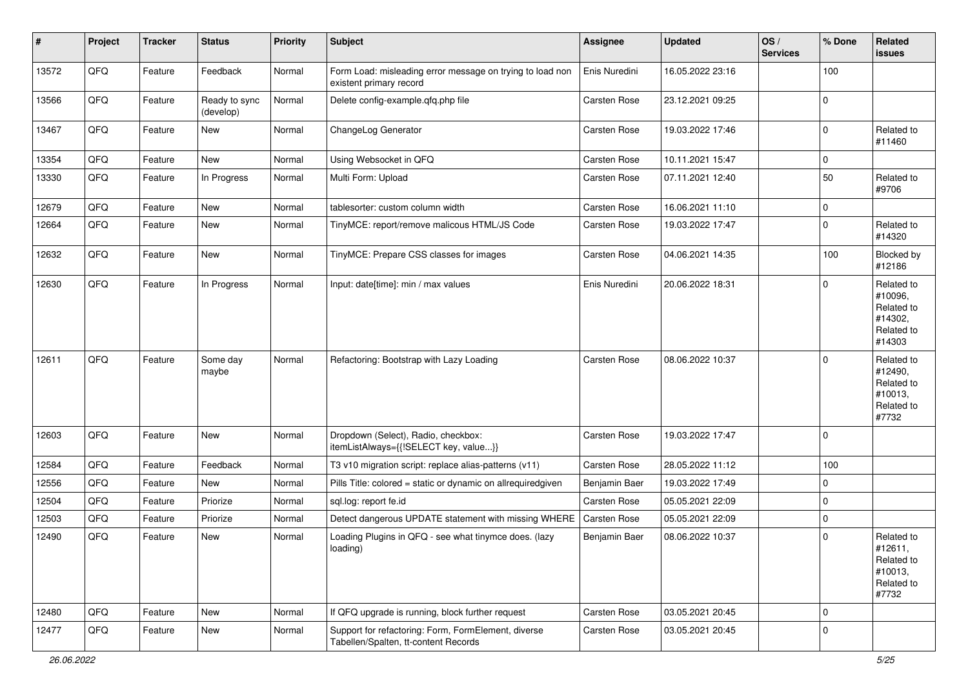| #     | Project | <b>Tracker</b> | <b>Status</b>              | <b>Priority</b> | <b>Subject</b>                                                                              | <b>Assignee</b> | <b>Updated</b>   | OS/<br><b>Services</b> | % Done      | Related<br>issues                                                      |
|-------|---------|----------------|----------------------------|-----------------|---------------------------------------------------------------------------------------------|-----------------|------------------|------------------------|-------------|------------------------------------------------------------------------|
| 13572 | QFQ     | Feature        | Feedback                   | Normal          | Form Load: misleading error message on trying to load non<br>existent primary record        | Enis Nuredini   | 16.05.2022 23:16 |                        | 100         |                                                                        |
| 13566 | QFQ     | Feature        | Ready to sync<br>(develop) | Normal          | Delete config-example.qfq.php file                                                          | Carsten Rose    | 23.12.2021 09:25 |                        | $\mathbf 0$ |                                                                        |
| 13467 | QFQ     | Feature        | New                        | Normal          | ChangeLog Generator                                                                         | Carsten Rose    | 19.03.2022 17:46 |                        | $\mathbf 0$ | Related to<br>#11460                                                   |
| 13354 | QFQ     | Feature        | New                        | Normal          | Using Websocket in QFQ                                                                      | Carsten Rose    | 10.11.2021 15:47 |                        | 0           |                                                                        |
| 13330 | QFQ     | Feature        | In Progress                | Normal          | Multi Form: Upload                                                                          | Carsten Rose    | 07.11.2021 12:40 |                        | 50          | Related to<br>#9706                                                    |
| 12679 | QFQ     | Feature        | New                        | Normal          | tablesorter: custom column width                                                            | Carsten Rose    | 16.06.2021 11:10 |                        | 0           |                                                                        |
| 12664 | QFQ     | Feature        | New                        | Normal          | TinyMCE: report/remove malicous HTML/JS Code                                                | Carsten Rose    | 19.03.2022 17:47 |                        | $\mathbf 0$ | Related to<br>#14320                                                   |
| 12632 | QFQ     | Feature        | New                        | Normal          | TinyMCE: Prepare CSS classes for images                                                     | Carsten Rose    | 04.06.2021 14:35 |                        | 100         | Blocked by<br>#12186                                                   |
| 12630 | QFQ     | Feature        | In Progress                | Normal          | Input: date[time]: min / max values                                                         | Enis Nuredini   | 20.06.2022 18:31 |                        | $\Omega$    | Related to<br>#10096,<br>Related to<br>#14302,<br>Related to<br>#14303 |
| 12611 | QFQ     | Feature        | Some day<br>maybe          | Normal          | Refactoring: Bootstrap with Lazy Loading                                                    | Carsten Rose    | 08.06.2022 10:37 |                        | $\mathbf 0$ | Related to<br>#12490,<br>Related to<br>#10013,<br>Related to<br>#7732  |
| 12603 | QFQ     | Feature        | New                        | Normal          | Dropdown (Select), Radio, checkbox:<br>itemListAlways={{!SELECT key, value}}                | Carsten Rose    | 19.03.2022 17:47 |                        | $\mathbf 0$ |                                                                        |
| 12584 | QFQ     | Feature        | Feedback                   | Normal          | T3 v10 migration script: replace alias-patterns (v11)                                       | Carsten Rose    | 28.05.2022 11:12 |                        | 100         |                                                                        |
| 12556 | QFQ     | Feature        | New                        | Normal          | Pills Title: colored = static or dynamic on allrequiredgiven                                | Benjamin Baer   | 19.03.2022 17:49 |                        | 0           |                                                                        |
| 12504 | QFQ     | Feature        | Priorize                   | Normal          | sql.log: report fe.id                                                                       | Carsten Rose    | 05.05.2021 22:09 |                        | $\mathbf 0$ |                                                                        |
| 12503 | QFQ     | Feature        | Priorize                   | Normal          | Detect dangerous UPDATE statement with missing WHERE                                        | Carsten Rose    | 05.05.2021 22:09 |                        | $\mathbf 0$ |                                                                        |
| 12490 | QFQ     | Feature        | New                        | Normal          | Loading Plugins in QFQ - see what tinymce does. (lazy<br>loading)                           | Benjamin Baer   | 08.06.2022 10:37 |                        | $\mathbf 0$ | Related to<br>#12611,<br>Related to<br>#10013,<br>Related to<br>#7732  |
| 12480 | QFQ     | Feature        | New                        | Normal          | If QFQ upgrade is running, block further request                                            | Carsten Rose    | 03.05.2021 20:45 |                        | 0           |                                                                        |
| 12477 | QFQ     | Feature        | New                        | Normal          | Support for refactoring: Form, FormElement, diverse<br>Tabellen/Spalten, tt-content Records | Carsten Rose    | 03.05.2021 20:45 |                        | $\mathbf 0$ |                                                                        |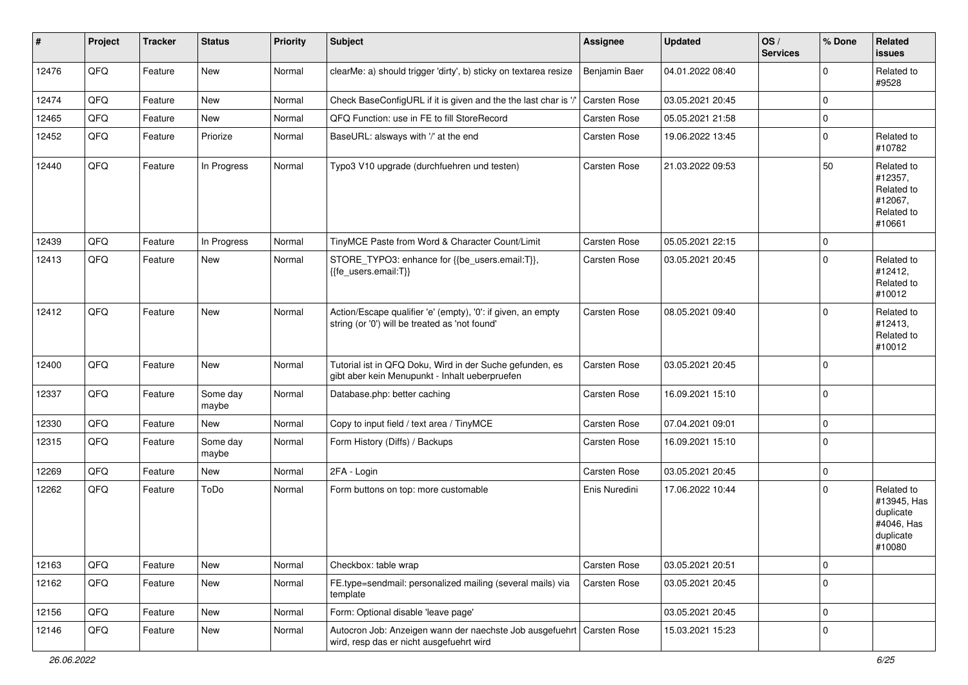| $\vert$ # | Project | <b>Tracker</b> | <b>Status</b>     | <b>Priority</b> | <b>Subject</b>                                                                                                      | Assignee      | <b>Updated</b>   | OS/<br><b>Services</b> | % Done      | Related<br><b>issues</b>                                                    |
|-----------|---------|----------------|-------------------|-----------------|---------------------------------------------------------------------------------------------------------------------|---------------|------------------|------------------------|-------------|-----------------------------------------------------------------------------|
| 12476     | QFQ     | Feature        | New               | Normal          | clearMe: a) should trigger 'dirty', b) sticky on textarea resize                                                    | Benjamin Baer | 04.01.2022 08:40 |                        | $\Omega$    | Related to<br>#9528                                                         |
| 12474     | QFQ     | Feature        | New               | Normal          | Check BaseConfigURL if it is given and the the last char is '/                                                      | Carsten Rose  | 03.05.2021 20:45 |                        | 0           |                                                                             |
| 12465     | QFQ     | Feature        | New               | Normal          | QFQ Function: use in FE to fill StoreRecord                                                                         | Carsten Rose  | 05.05.2021 21:58 |                        | 0           |                                                                             |
| 12452     | QFQ     | Feature        | Priorize          | Normal          | BaseURL: alsways with '/' at the end                                                                                | Carsten Rose  | 19.06.2022 13:45 |                        | 0           | Related to<br>#10782                                                        |
| 12440     | QFQ     | Feature        | In Progress       | Normal          | Typo3 V10 upgrade (durchfuehren und testen)                                                                         | Carsten Rose  | 21.03.2022 09:53 |                        | 50          | Related to<br>#12357,<br>Related to<br>#12067,<br>Related to<br>#10661      |
| 12439     | QFQ     | Feature        | In Progress       | Normal          | TinyMCE Paste from Word & Character Count/Limit                                                                     | Carsten Rose  | 05.05.2021 22:15 |                        | 0           |                                                                             |
| 12413     | QFQ     | Feature        | New               | Normal          | STORE_TYPO3: enhance for {{be_users.email:T}},<br>{{fe_users.email:T}}                                              | Carsten Rose  | 03.05.2021 20:45 |                        | 0           | Related to<br>#12412,<br>Related to<br>#10012                               |
| 12412     | QFQ     | Feature        | New               | Normal          | Action/Escape qualifier 'e' (empty), '0': if given, an empty<br>string (or '0') will be treated as 'not found'      | Carsten Rose  | 08.05.2021 09:40 |                        | $\Omega$    | Related to<br>#12413,<br>Related to<br>#10012                               |
| 12400     | QFQ     | Feature        | New               | Normal          | Tutorial ist in QFQ Doku, Wird in der Suche gefunden, es<br>gibt aber kein Menupunkt - Inhalt ueberpruefen          | Carsten Rose  | 03.05.2021 20:45 |                        | 0           |                                                                             |
| 12337     | QFQ     | Feature        | Some day<br>maybe | Normal          | Database.php: better caching                                                                                        | Carsten Rose  | 16.09.2021 15:10 |                        | 0           |                                                                             |
| 12330     | QFQ     | Feature        | <b>New</b>        | Normal          | Copy to input field / text area / TinyMCE                                                                           | Carsten Rose  | 07.04.2021 09:01 |                        | 0           |                                                                             |
| 12315     | QFQ     | Feature        | Some day<br>maybe | Normal          | Form History (Diffs) / Backups                                                                                      | Carsten Rose  | 16.09.2021 15:10 |                        | $\Omega$    |                                                                             |
| 12269     | QFQ     | Feature        | <b>New</b>        | Normal          | 2FA - Login                                                                                                         | Carsten Rose  | 03.05.2021 20:45 |                        | $\mathbf 0$ |                                                                             |
| 12262     | QFQ     | Feature        | ToDo              | Normal          | Form buttons on top: more customable                                                                                | Enis Nuredini | 17.06.2022 10:44 |                        | 0           | Related to<br>#13945, Has<br>duplicate<br>#4046, Has<br>duplicate<br>#10080 |
| 12163     | QFQ     | Feature        | New               | Normal          | Checkbox: table wrap                                                                                                | Carsten Rose  | 03.05.2021 20:51 |                        | 0           |                                                                             |
| 12162     | QFQ     | Feature        | New               | Normal          | FE.type=sendmail: personalized mailing (several mails) via<br>template                                              | Carsten Rose  | 03.05.2021 20:45 |                        | $\mathbf 0$ |                                                                             |
| 12156     | QFQ     | Feature        | New               | Normal          | Form: Optional disable 'leave page'                                                                                 |               | 03.05.2021 20:45 |                        | 0           |                                                                             |
| 12146     | QFQ     | Feature        | New               | Normal          | Autocron Job: Anzeigen wann der naechste Job ausgefuehrt   Carsten Rose<br>wird, resp das er nicht ausgefuehrt wird |               | 15.03.2021 15:23 |                        | 0           |                                                                             |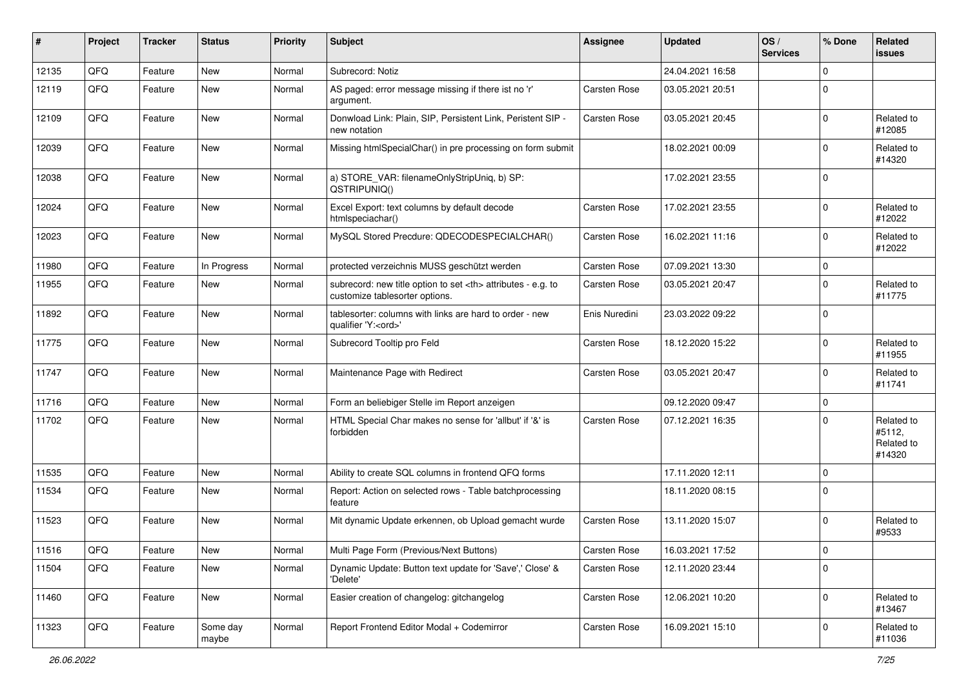| #     | Project | <b>Tracker</b> | <b>Status</b>     | <b>Priority</b> | <b>Subject</b>                                                                                       | <b>Assignee</b>                                        | <b>Updated</b>   | OS/<br><b>Services</b> | % Done      | Related<br><b>issues</b>                     |                      |
|-------|---------|----------------|-------------------|-----------------|------------------------------------------------------------------------------------------------------|--------------------------------------------------------|------------------|------------------------|-------------|----------------------------------------------|----------------------|
| 12135 | QFQ     | Feature        | <b>New</b>        | Normal          | Subrecord: Notiz                                                                                     |                                                        | 24.04.2021 16:58 |                        | $\Omega$    |                                              |                      |
| 12119 | QFQ     | Feature        | New               | Normal          | AS paged: error message missing if there ist no 'r'<br>argument.                                     | Carsten Rose                                           | 03.05.2021 20:51 |                        | $\Omega$    |                                              |                      |
| 12109 | QFQ     | Feature        | New               | Normal          | Donwload Link: Plain, SIP, Persistent Link, Peristent SIP -<br>new notation                          | Carsten Rose                                           | 03.05.2021 20:45 |                        | $\mathbf 0$ | Related to<br>#12085                         |                      |
| 12039 | QFQ     | Feature        | <b>New</b>        | Normal          | Missing htmlSpecialChar() in pre processing on form submit                                           |                                                        | 18.02.2021 00:09 |                        | $\Omega$    | Related to<br>#14320                         |                      |
| 12038 | QFQ     | Feature        | New               | Normal          | a) STORE_VAR: filenameOnlyStripUniq, b) SP:<br>QSTRIPUNIQ()                                          |                                                        | 17.02.2021 23:55 |                        | $\Omega$    |                                              |                      |
| 12024 | QFQ     | Feature        | New               | Normal          | Excel Export: text columns by default decode<br>htmlspeciachar()                                     | Carsten Rose                                           | 17.02.2021 23:55 |                        | $\Omega$    | Related to<br>#12022                         |                      |
| 12023 | QFQ     | Feature        | New               | Normal          | MySQL Stored Precdure: QDECODESPECIALCHAR()                                                          | Carsten Rose                                           | 16.02.2021 11:16 |                        | $\Omega$    | Related to<br>#12022                         |                      |
| 11980 | QFQ     | Feature        | In Progress       | Normal          | protected verzeichnis MUSS geschützt werden                                                          | Carsten Rose                                           | 07.09.2021 13:30 |                        | $\mathbf 0$ |                                              |                      |
| 11955 | QFQ     | Feature        | <b>New</b>        | Normal          | subrecord: new title option to set <th> attributes - e.g. to<br/>customize tablesorter options.</th> | attributes - e.g. to<br>customize tablesorter options. | Carsten Rose     | 03.05.2021 20:47       |             | $\mathbf 0$                                  | Related to<br>#11775 |
| 11892 | QFQ     | Feature        | New               | Normal          | tablesorter: columns with links are hard to order - new<br>qualifier 'Y: <ord>'</ord>                | Enis Nuredini                                          | 23.03.2022 09:22 |                        | $\Omega$    |                                              |                      |
| 11775 | QFQ     | Feature        | New               | Normal          | Subrecord Tooltip pro Feld                                                                           | Carsten Rose                                           | 18.12.2020 15:22 |                        | $\Omega$    | Related to<br>#11955                         |                      |
| 11747 | QFQ     | Feature        | New               | Normal          | Maintenance Page with Redirect                                                                       | Carsten Rose                                           | 03.05.2021 20:47 |                        | $\mathbf 0$ | Related to<br>#11741                         |                      |
| 11716 | QFQ     | Feature        | New               | Normal          | Form an beliebiger Stelle im Report anzeigen                                                         |                                                        | 09.12.2020 09:47 |                        | $\mathbf 0$ |                                              |                      |
| 11702 | QFQ     | Feature        | New               | Normal          | HTML Special Char makes no sense for 'allbut' if '&' is<br>forbidden                                 | Carsten Rose                                           | 07.12.2021 16:35 |                        | $\Omega$    | Related to<br>#5112,<br>Related to<br>#14320 |                      |
| 11535 | QFQ     | Feature        | New               | Normal          | Ability to create SQL columns in frontend QFQ forms                                                  |                                                        | 17.11.2020 12:11 |                        | $\mathbf 0$ |                                              |                      |
| 11534 | QFQ     | Feature        | New               | Normal          | Report: Action on selected rows - Table batchprocessing<br>feature                                   |                                                        | 18.11.2020 08:15 |                        | $\mathbf 0$ |                                              |                      |
| 11523 | QFQ     | Feature        | New               | Normal          | Mit dynamic Update erkennen, ob Upload gemacht wurde                                                 | Carsten Rose                                           | 13.11.2020 15:07 |                        | $\mathbf 0$ | Related to<br>#9533                          |                      |
| 11516 | QFQ     | Feature        | New               | Normal          | Multi Page Form (Previous/Next Buttons)                                                              | Carsten Rose                                           | 16.03.2021 17:52 |                        | 0           |                                              |                      |
| 11504 | QFQ     | Feature        | New               | Normal          | Dynamic Update: Button text update for 'Save',' Close' &<br>'Delete'                                 | Carsten Rose                                           | 12.11.2020 23:44 |                        | $\mathbf 0$ |                                              |                      |
| 11460 | QFQ     | Feature        | New               | Normal          | Easier creation of changelog: gitchangelog                                                           | Carsten Rose                                           | 12.06.2021 10:20 |                        | $\mathbf 0$ | Related to<br>#13467                         |                      |
| 11323 | QFQ     | Feature        | Some day<br>maybe | Normal          | Report Frontend Editor Modal + Codemirror                                                            | Carsten Rose                                           | 16.09.2021 15:10 |                        | 0           | Related to<br>#11036                         |                      |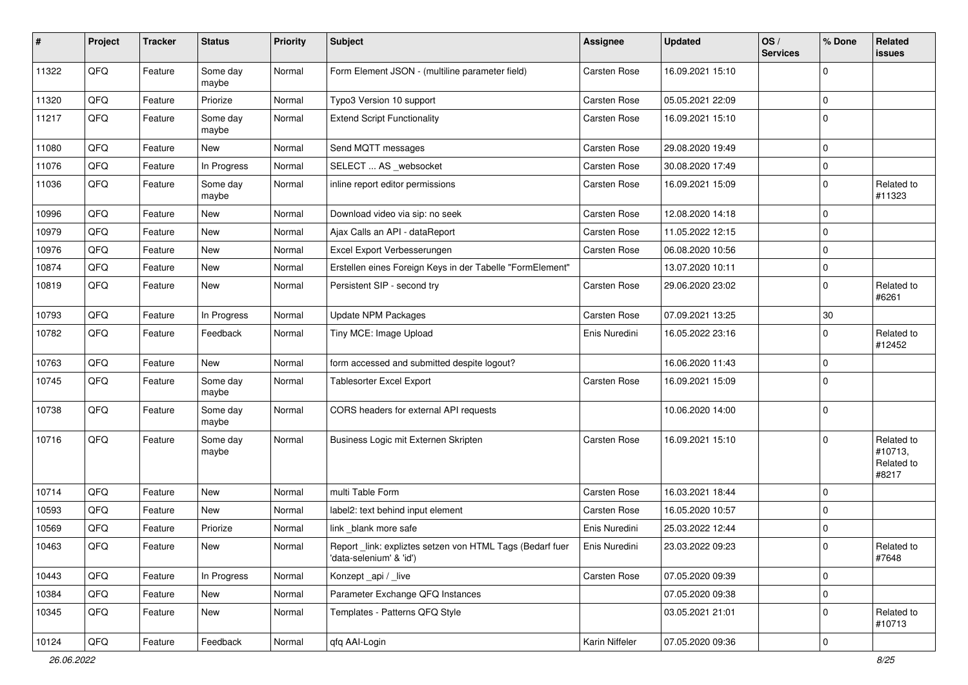| $\sharp$ | Project | <b>Tracker</b> | <b>Status</b>     | <b>Priority</b> | <b>Subject</b>                                                                      | Assignee       | Updated          | OS/<br><b>Services</b> | % Done      | Related<br>issues                            |
|----------|---------|----------------|-------------------|-----------------|-------------------------------------------------------------------------------------|----------------|------------------|------------------------|-------------|----------------------------------------------|
| 11322    | QFQ     | Feature        | Some day<br>maybe | Normal          | Form Element JSON - (multiline parameter field)                                     | Carsten Rose   | 16.09.2021 15:10 |                        | $\Omega$    |                                              |
| 11320    | QFQ     | Feature        | Priorize          | Normal          | Typo3 Version 10 support                                                            | Carsten Rose   | 05.05.2021 22:09 |                        | $\mathbf 0$ |                                              |
| 11217    | QFQ     | Feature        | Some day<br>maybe | Normal          | <b>Extend Script Functionality</b>                                                  | Carsten Rose   | 16.09.2021 15:10 |                        | $\Omega$    |                                              |
| 11080    | QFQ     | Feature        | New               | Normal          | Send MQTT messages                                                                  | Carsten Rose   | 29.08.2020 19:49 |                        | $\mathbf 0$ |                                              |
| 11076    | QFQ     | Feature        | In Progress       | Normal          | SELECT  AS _websocket                                                               | Carsten Rose   | 30.08.2020 17:49 |                        | $\mathbf 0$ |                                              |
| 11036    | QFQ     | Feature        | Some day<br>maybe | Normal          | inline report editor permissions                                                    | Carsten Rose   | 16.09.2021 15:09 |                        | $\Omega$    | Related to<br>#11323                         |
| 10996    | QFQ     | Feature        | New               | Normal          | Download video via sip: no seek                                                     | Carsten Rose   | 12.08.2020 14:18 |                        | $\mathbf 0$ |                                              |
| 10979    | QFQ     | Feature        | New               | Normal          | Ajax Calls an API - dataReport                                                      | Carsten Rose   | 11.05.2022 12:15 |                        | $\Omega$    |                                              |
| 10976    | QFQ     | Feature        | New               | Normal          | Excel Export Verbesserungen                                                         | Carsten Rose   | 06.08.2020 10:56 |                        | $\Omega$    |                                              |
| 10874    | QFQ     | Feature        | New               | Normal          | Erstellen eines Foreign Keys in der Tabelle "FormElement"                           |                | 13.07.2020 10:11 |                        | $\mathbf 0$ |                                              |
| 10819    | QFQ     | Feature        | New               | Normal          | Persistent SIP - second try                                                         | Carsten Rose   | 29.06.2020 23:02 |                        | $\mathbf 0$ | Related to<br>#6261                          |
| 10793    | QFQ     | Feature        | In Progress       | Normal          | Update NPM Packages                                                                 | Carsten Rose   | 07.09.2021 13:25 |                        | $30\,$      |                                              |
| 10782    | QFQ     | Feature        | Feedback          | Normal          | Tiny MCE: Image Upload                                                              | Enis Nuredini  | 16.05.2022 23:16 |                        | $\Omega$    | Related to<br>#12452                         |
| 10763    | QFQ     | Feature        | New               | Normal          | form accessed and submitted despite logout?                                         |                | 16.06.2020 11:43 |                        | $\mathbf 0$ |                                              |
| 10745    | QFQ     | Feature        | Some day<br>maybe | Normal          | Tablesorter Excel Export                                                            | Carsten Rose   | 16.09.2021 15:09 |                        | $\Omega$    |                                              |
| 10738    | QFQ     | Feature        | Some day<br>maybe | Normal          | CORS headers for external API requests                                              |                | 10.06.2020 14:00 |                        | $\mathbf 0$ |                                              |
| 10716    | QFQ     | Feature        | Some day<br>maybe | Normal          | Business Logic mit Externen Skripten                                                | Carsten Rose   | 16.09.2021 15:10 |                        | $\Omega$    | Related to<br>#10713,<br>Related to<br>#8217 |
| 10714    | QFQ     | Feature        | New               | Normal          | multi Table Form                                                                    | Carsten Rose   | 16.03.2021 18:44 |                        | $\Omega$    |                                              |
| 10593    | QFQ     | Feature        | New               | Normal          | label2: text behind input element                                                   | Carsten Rose   | 16.05.2020 10:57 |                        | 0           |                                              |
| 10569    | QFQ     | Feature        | Priorize          | Normal          | link _blank more safe                                                               | Enis Nuredini  | 25.03.2022 12:44 |                        | $\mathbf 0$ |                                              |
| 10463    | QFQ     | Feature        | New               | Normal          | Report_link: expliztes setzen von HTML Tags (Bedarf fuer<br>'data-selenium' & 'id') | Enis Nuredini  | 23.03.2022 09:23 |                        | $\pmb{0}$   | Related to<br>#7648                          |
| 10443    | QFQ     | Feature        | In Progress       | Normal          | Konzept_api / _live                                                                 | Carsten Rose   | 07.05.2020 09:39 |                        | $\mathbf 0$ |                                              |
| 10384    | QFQ     | Feature        | New               | Normal          | Parameter Exchange QFQ Instances                                                    |                | 07.05.2020 09:38 |                        | $\pmb{0}$   |                                              |
| 10345    | QFQ     | Feature        | New               | Normal          | Templates - Patterns QFQ Style                                                      |                | 03.05.2021 21:01 |                        | 0           | Related to<br>#10713                         |
| 10124    | QFQ     | Feature        | Feedback          | Normal          | qfq AAI-Login                                                                       | Karin Niffeler | 07.05.2020 09:36 |                        | $\mathbf 0$ |                                              |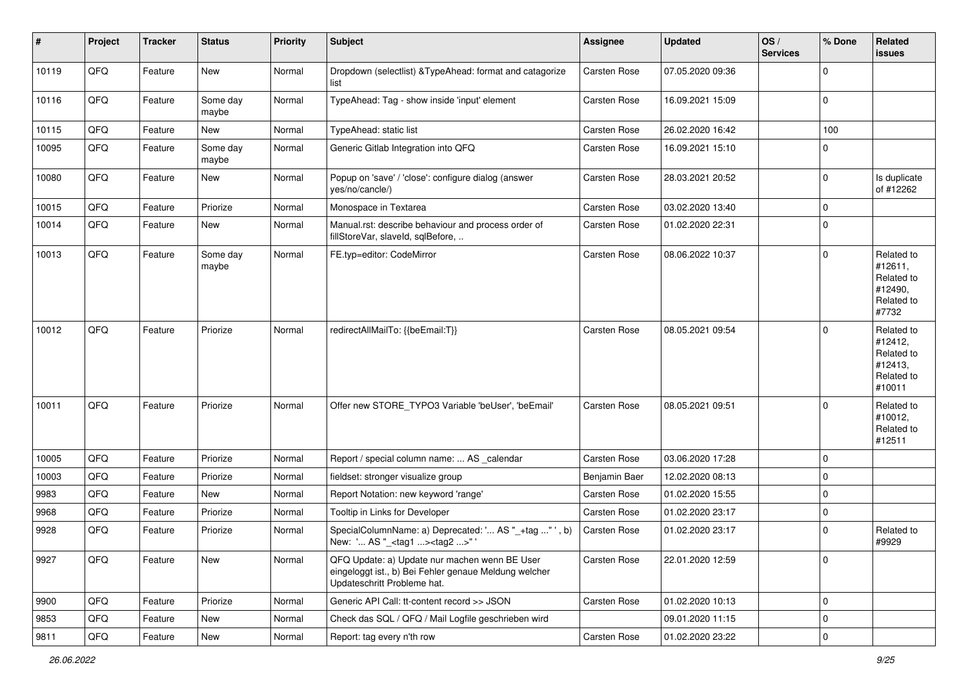| $\vert$ # | Project | <b>Tracker</b> | <b>Status</b>     | <b>Priority</b> | <b>Subject</b>                                                                                                                        | <b>Assignee</b> | <b>Updated</b>   | OS/<br><b>Services</b> | % Done      | Related<br>issues                                                      |
|-----------|---------|----------------|-------------------|-----------------|---------------------------------------------------------------------------------------------------------------------------------------|-----------------|------------------|------------------------|-------------|------------------------------------------------------------------------|
| 10119     | QFQ     | Feature        | New               | Normal          | Dropdown (selectlist) & TypeAhead: format and catagorize<br>list                                                                      | Carsten Rose    | 07.05.2020 09:36 |                        | $\mathbf 0$ |                                                                        |
| 10116     | QFQ     | Feature        | Some day<br>maybe | Normal          | TypeAhead: Tag - show inside 'input' element                                                                                          | Carsten Rose    | 16.09.2021 15:09 |                        | $\mathbf 0$ |                                                                        |
| 10115     | QFQ     | Feature        | New               | Normal          | TypeAhead: static list                                                                                                                | Carsten Rose    | 26.02.2020 16:42 |                        | 100         |                                                                        |
| 10095     | QFQ     | Feature        | Some day<br>maybe | Normal          | Generic Gitlab Integration into QFQ                                                                                                   | Carsten Rose    | 16.09.2021 15:10 |                        | $\Omega$    |                                                                        |
| 10080     | QFQ     | Feature        | New               | Normal          | Popup on 'save' / 'close': configure dialog (answer<br>yes/no/cancle/)                                                                | Carsten Rose    | 28.03.2021 20:52 |                        | $\mathbf 0$ | Is duplicate<br>of #12262                                              |
| 10015     | QFQ     | Feature        | Priorize          | Normal          | Monospace in Textarea                                                                                                                 | Carsten Rose    | 03.02.2020 13:40 |                        | $\mathbf 0$ |                                                                        |
| 10014     | QFQ     | Feature        | New               | Normal          | Manual.rst: describe behaviour and process order of<br>fillStoreVar, slaveId, sqlBefore,                                              | Carsten Rose    | 01.02.2020 22:31 |                        | $\mathbf 0$ |                                                                        |
| 10013     | QFQ     | Feature        | Some day<br>maybe | Normal          | FE.typ=editor: CodeMirror                                                                                                             | Carsten Rose    | 08.06.2022 10:37 |                        | $\mathbf 0$ | Related to<br>#12611,<br>Related to<br>#12490,<br>Related to<br>#7732  |
| 10012     | QFQ     | Feature        | Priorize          | Normal          | redirectAllMailTo: {{beEmail:T}}                                                                                                      | Carsten Rose    | 08.05.2021 09:54 |                        | $\mathbf 0$ | Related to<br>#12412,<br>Related to<br>#12413,<br>Related to<br>#10011 |
| 10011     | QFQ     | Feature        | Priorize          | Normal          | Offer new STORE_TYPO3 Variable 'beUser', 'beEmail'                                                                                    | Carsten Rose    | 08.05.2021 09:51 |                        | 0           | Related to<br>#10012,<br>Related to<br>#12511                          |
| 10005     | QFQ     | Feature        | Priorize          | Normal          | Report / special column name:  AS _calendar                                                                                           | Carsten Rose    | 03.06.2020 17:28 |                        | $\mathbf 0$ |                                                                        |
| 10003     | QFQ     | Feature        | Priorize          | Normal          | fieldset: stronger visualize group                                                                                                    | Benjamin Baer   | 12.02.2020 08:13 |                        | 0           |                                                                        |
| 9983      | QFQ     | Feature        | New               | Normal          | Report Notation: new keyword 'range'                                                                                                  | Carsten Rose    | 01.02.2020 15:55 |                        | $\mathbf 0$ |                                                                        |
| 9968      | QFQ     | Feature        | Priorize          | Normal          | Tooltip in Links for Developer                                                                                                        | Carsten Rose    | 01.02.2020 23:17 |                        | 0           |                                                                        |
| 9928      | QFQ     | Feature        | Priorize          | Normal          | SpecialColumnName: a) Deprecated: ' AS "_+tag " ', b)<br>New: ' AS "_ <tag1><tag2>"'</tag2></tag1>                                    | Carsten Rose    | 01.02.2020 23:17 |                        | $\mathbf 0$ | Related to<br>#9929                                                    |
| 9927      | QFQ     | Feature        | New               | Normal          | QFQ Update: a) Update nur machen wenn BE User<br>eingeloggt ist., b) Bei Fehler genaue Meldung welcher<br>Updateschritt Probleme hat. | Carsten Rose    | 22.01.2020 12:59 |                        | $\mathbf 0$ |                                                                        |
| 9900      | QFQ     | Feature        | Priorize          | Normal          | Generic API Call: tt-content record >> JSON                                                                                           | Carsten Rose    | 01.02.2020 10:13 |                        | $\mathbf 0$ |                                                                        |
| 9853      | QFQ     | Feature        | New               | Normal          | Check das SQL / QFQ / Mail Logfile geschrieben wird                                                                                   |                 | 09.01.2020 11:15 |                        | $\mathbf 0$ |                                                                        |
| 9811      | QFQ     | Feature        | New               | Normal          | Report: tag every n'th row                                                                                                            | Carsten Rose    | 01.02.2020 23:22 |                        | $\pmb{0}$   |                                                                        |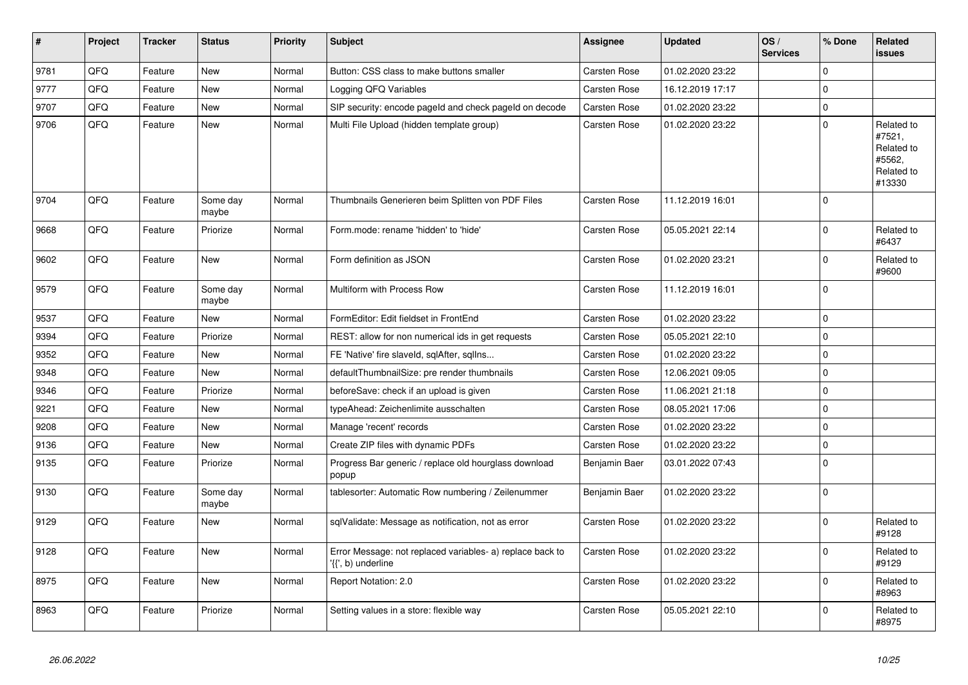| $\vert$ # | <b>Project</b> | <b>Tracker</b> | <b>Status</b>     | <b>Priority</b> | <b>Subject</b>                                                                  | Assignee            | <b>Updated</b>   | OS/<br><b>Services</b> | % Done              | Related<br><b>issues</b>                                             |
|-----------|----------------|----------------|-------------------|-----------------|---------------------------------------------------------------------------------|---------------------|------------------|------------------------|---------------------|----------------------------------------------------------------------|
| 9781      | QFQ            | Feature        | <b>New</b>        | Normal          | Button: CSS class to make buttons smaller                                       | <b>Carsten Rose</b> | 01.02.2020 23:22 |                        | $\Omega$            |                                                                      |
| 9777      | QFQ            | Feature        | New               | Normal          | Logging QFQ Variables                                                           | Carsten Rose        | 16.12.2019 17:17 |                        | $\mathbf 0$         |                                                                      |
| 9707      | QFQ            | Feature        | New               | Normal          | SIP security: encode pageld and check pageld on decode                          | <b>Carsten Rose</b> | 01.02.2020 23:22 |                        | $\mathbf 0$         |                                                                      |
| 9706      | QFQ            | Feature        | New               | Normal          | Multi File Upload (hidden template group)                                       | Carsten Rose        | 01.02.2020 23:22 |                        | $\overline{0}$      | Related to<br>#7521,<br>Related to<br>#5562,<br>Related to<br>#13330 |
| 9704      | QFQ            | Feature        | Some day<br>maybe | Normal          | Thumbnails Generieren beim Splitten von PDF Files                               | Carsten Rose        | 11.12.2019 16:01 |                        | $\Omega$            |                                                                      |
| 9668      | QFQ            | Feature        | Priorize          | Normal          | Form.mode: rename 'hidden' to 'hide'                                            | <b>Carsten Rose</b> | 05.05.2021 22:14 |                        | $\mathbf 0$         | Related to<br>#6437                                                  |
| 9602      | QFQ            | Feature        | New               | Normal          | Form definition as JSON                                                         | <b>Carsten Rose</b> | 01.02.2020 23:21 |                        | $\mathbf 0$         | Related to<br>#9600                                                  |
| 9579      | QFQ            | Feature        | Some day<br>maybe | Normal          | Multiform with Process Row                                                      | Carsten Rose        | 11.12.2019 16:01 |                        | $\Omega$            |                                                                      |
| 9537      | QFQ            | Feature        | New               | Normal          | FormEditor: Edit fieldset in FrontEnd                                           | <b>Carsten Rose</b> | 01.02.2020 23:22 |                        | $\mathbf 0$         |                                                                      |
| 9394      | QFQ            | Feature        | Priorize          | Normal          | REST: allow for non numerical ids in get requests                               | Carsten Rose        | 05.05.2021 22:10 |                        | $\mathbf 0$         |                                                                      |
| 9352      | QFQ            | Feature        | New               | Normal          | FE 'Native' fire slaveld, sqlAfter, sqlIns                                      | Carsten Rose        | 01.02.2020 23:22 |                        | $\mathbf 0$         |                                                                      |
| 9348      | QFQ            | Feature        | <b>New</b>        | Normal          | defaultThumbnailSize: pre render thumbnails                                     | <b>Carsten Rose</b> | 12.06.2021 09:05 |                        | $\mathbf 0$         |                                                                      |
| 9346      | QFQ            | Feature        | Priorize          | Normal          | beforeSave: check if an upload is given                                         | <b>Carsten Rose</b> | 11.06.2021 21:18 |                        | $\mathsf{O}\xspace$ |                                                                      |
| 9221      | QFQ            | Feature        | New               | Normal          | typeAhead: Zeichenlimite ausschalten                                            | Carsten Rose        | 08.05.2021 17:06 |                        | $\mathbf 0$         |                                                                      |
| 9208      | QFQ            | Feature        | New               | Normal          | Manage 'recent' records                                                         | <b>Carsten Rose</b> | 01.02.2020 23:22 |                        | $\mathbf 0$         |                                                                      |
| 9136      | QFQ            | Feature        | New               | Normal          | Create ZIP files with dynamic PDFs                                              | <b>Carsten Rose</b> | 01.02.2020 23:22 |                        | $\mathsf{O}\xspace$ |                                                                      |
| 9135      | QFQ            | Feature        | Priorize          | Normal          | Progress Bar generic / replace old hourglass download<br>popup                  | Benjamin Baer       | 03.01.2022 07:43 |                        | $\Omega$            |                                                                      |
| 9130      | QFQ            | Feature        | Some day<br>maybe | Normal          | tablesorter: Automatic Row numbering / Zeilenummer                              | Benjamin Baer       | 01.02.2020 23:22 |                        | $\mathbf 0$         |                                                                      |
| 9129      | QFQ            | Feature        | <b>New</b>        | Normal          | sqlValidate: Message as notification, not as error                              | <b>Carsten Rose</b> | 01.02.2020 23:22 |                        | $\mathbf 0$         | Related to<br>#9128                                                  |
| 9128      | QFQ            | Feature        | New               | Normal          | Error Message: not replaced variables- a) replace back to<br>'{{', b) underline | Carsten Rose        | 01.02.2020 23:22 |                        | $\mathbf 0$         | Related to<br>#9129                                                  |
| 8975      | QFQ            | Feature        | New               | Normal          | Report Notation: 2.0                                                            | Carsten Rose        | 01.02.2020 23:22 |                        | $\mathbf 0$         | Related to<br>#8963                                                  |
| 8963      | QFQ            | Feature        | Priorize          | Normal          | Setting values in a store: flexible way                                         | <b>Carsten Rose</b> | 05.05.2021 22:10 |                        | $\Omega$            | Related to<br>#8975                                                  |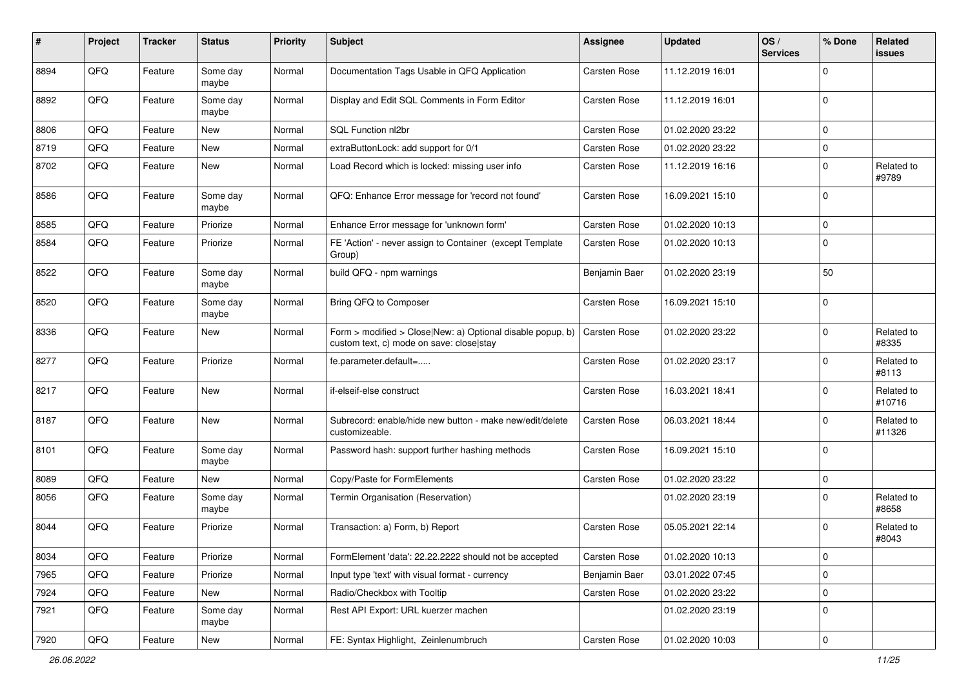| $\pmb{\#}$ | Project | <b>Tracker</b> | <b>Status</b>     | <b>Priority</b> | Subject                                                                                                | <b>Assignee</b> | <b>Updated</b>   | OS/<br><b>Services</b> | % Done      | Related<br>issues    |
|------------|---------|----------------|-------------------|-----------------|--------------------------------------------------------------------------------------------------------|-----------------|------------------|------------------------|-------------|----------------------|
| 8894       | QFQ     | Feature        | Some day<br>maybe | Normal          | Documentation Tags Usable in QFQ Application                                                           | Carsten Rose    | 11.12.2019 16:01 |                        | $\Omega$    |                      |
| 8892       | QFQ     | Feature        | Some day<br>maybe | Normal          | Display and Edit SQL Comments in Form Editor                                                           | Carsten Rose    | 11.12.2019 16:01 |                        | $\Omega$    |                      |
| 8806       | QFQ     | Feature        | New               | Normal          | SQL Function nl2br                                                                                     | Carsten Rose    | 01.02.2020 23:22 |                        | $\mathbf 0$ |                      |
| 8719       | QFQ     | Feature        | New               | Normal          | extraButtonLock: add support for 0/1                                                                   | Carsten Rose    | 01.02.2020 23:22 |                        | $\Omega$    |                      |
| 8702       | QFQ     | Feature        | New               | Normal          | Load Record which is locked: missing user info                                                         | Carsten Rose    | 11.12.2019 16:16 |                        | $\Omega$    | Related to<br>#9789  |
| 8586       | QFQ     | Feature        | Some day<br>maybe | Normal          | QFQ: Enhance Error message for 'record not found'                                                      | Carsten Rose    | 16.09.2021 15:10 |                        | $\Omega$    |                      |
| 8585       | QFQ     | Feature        | Priorize          | Normal          | Enhance Error message for 'unknown form'                                                               | Carsten Rose    | 01.02.2020 10:13 |                        | $\Omega$    |                      |
| 8584       | QFQ     | Feature        | Priorize          | Normal          | FE 'Action' - never assign to Container (except Template<br>Group)                                     | Carsten Rose    | 01.02.2020 10:13 |                        | $\Omega$    |                      |
| 8522       | QFQ     | Feature        | Some day<br>maybe | Normal          | build QFQ - npm warnings                                                                               | Benjamin Baer   | 01.02.2020 23:19 |                        | 50          |                      |
| 8520       | QFQ     | Feature        | Some day<br>maybe | Normal          | Bring QFQ to Composer                                                                                  | Carsten Rose    | 16.09.2021 15:10 |                        | $\Omega$    |                      |
| 8336       | QFQ     | Feature        | New               | Normal          | Form > modified > Close New: a) Optional disable popup, b)<br>custom text, c) mode on save: close stay | Carsten Rose    | 01.02.2020 23:22 |                        | $\Omega$    | Related to<br>#8335  |
| 8277       | QFQ     | Feature        | Priorize          | Normal          | fe.parameter.default=                                                                                  | Carsten Rose    | 01.02.2020 23:17 |                        | $\Omega$    | Related to<br>#8113  |
| 8217       | QFQ     | Feature        | New               | Normal          | if-elseif-else construct                                                                               | Carsten Rose    | 16.03.2021 18:41 |                        | $\Omega$    | Related to<br>#10716 |
| 8187       | QFQ     | Feature        | New               | Normal          | Subrecord: enable/hide new button - make new/edit/delete<br>customizeable.                             | Carsten Rose    | 06.03.2021 18:44 |                        | $\Omega$    | Related to<br>#11326 |
| 8101       | QFQ     | Feature        | Some day<br>maybe | Normal          | Password hash: support further hashing methods                                                         | Carsten Rose    | 16.09.2021 15:10 |                        | $\Omega$    |                      |
| 8089       | QFQ     | Feature        | New               | Normal          | Copy/Paste for FormElements                                                                            | Carsten Rose    | 01.02.2020 23:22 |                        | $\Omega$    |                      |
| 8056       | QFQ     | Feature        | Some day<br>maybe | Normal          | Termin Organisation (Reservation)                                                                      |                 | 01.02.2020 23:19 |                        | $\Omega$    | Related to<br>#8658  |
| 8044       | QFQ     | Feature        | Priorize          | Normal          | Transaction: a) Form, b) Report                                                                        | Carsten Rose    | 05.05.2021 22:14 |                        | $\Omega$    | Related to<br>#8043  |
| 8034       | QFG     | Feature        | Priorize          | Normal          | FormElement 'data': 22.22.2222 should not be accepted                                                  | Carsten Rose    | 01.02.2020 10:13 |                        | 0           |                      |
| 7965       | QFQ     | Feature        | Priorize          | Normal          | Input type 'text' with visual format - currency                                                        | Benjamin Baer   | 03.01.2022 07:45 |                        | $\mathbf 0$ |                      |
| 7924       | QFQ     | Feature        | New               | Normal          | Radio/Checkbox with Tooltip                                                                            | Carsten Rose    | 01.02.2020 23:22 |                        | 0           |                      |
| 7921       | QFQ     | Feature        | Some day<br>maybe | Normal          | Rest API Export: URL kuerzer machen                                                                    |                 | 01.02.2020 23:19 |                        | $\mathbf 0$ |                      |
| 7920       | QFQ     | Feature        | New               | Normal          | FE: Syntax Highlight, Zeinlenumbruch                                                                   | Carsten Rose    | 01.02.2020 10:03 |                        | $\pmb{0}$   |                      |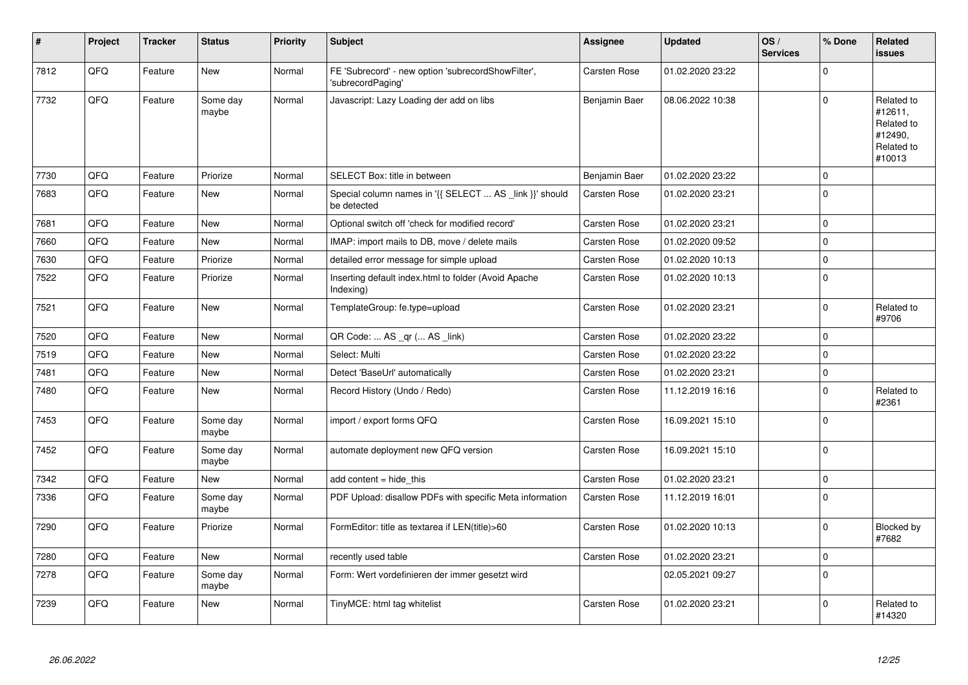| #    | Project | <b>Tracker</b> | <b>Status</b>     | <b>Priority</b> | <b>Subject</b>                                                          | <b>Assignee</b>     | <b>Updated</b>   | OS/<br><b>Services</b> | % Done      | Related<br><b>issues</b>                                               |
|------|---------|----------------|-------------------|-----------------|-------------------------------------------------------------------------|---------------------|------------------|------------------------|-------------|------------------------------------------------------------------------|
| 7812 | QFQ     | Feature        | <b>New</b>        | Normal          | FE 'Subrecord' - new option 'subrecordShowFilter',<br>'subrecordPaging' | Carsten Rose        | 01.02.2020 23:22 |                        | $\Omega$    |                                                                        |
| 7732 | QFQ     | Feature        | Some dav<br>maybe | Normal          | Javascript: Lazy Loading der add on libs                                | Benjamin Baer       | 08.06.2022 10:38 |                        | $\Omega$    | Related to<br>#12611,<br>Related to<br>#12490,<br>Related to<br>#10013 |
| 7730 | QFQ     | Feature        | Priorize          | Normal          | SELECT Box: title in between                                            | Benjamin Baer       | 01.02.2020 23:22 |                        | $\mathbf 0$ |                                                                        |
| 7683 | QFQ     | Feature        | <b>New</b>        | Normal          | Special column names in '{{ SELECT  AS _link }}' should<br>be detected  | Carsten Rose        | 01.02.2020 23:21 |                        | $\mathbf 0$ |                                                                        |
| 7681 | QFQ     | Feature        | New               | Normal          | Optional switch off 'check for modified record'                         | Carsten Rose        | 01.02.2020 23:21 |                        | $\mathbf 0$ |                                                                        |
| 7660 | QFQ     | Feature        | <b>New</b>        | Normal          | IMAP: import mails to DB, move / delete mails                           | Carsten Rose        | 01.02.2020 09:52 |                        | $\mathbf 0$ |                                                                        |
| 7630 | QFQ     | Feature        | Priorize          | Normal          | detailed error message for simple upload                                | <b>Carsten Rose</b> | 01.02.2020 10:13 |                        | $\mathbf 0$ |                                                                        |
| 7522 | QFQ     | Feature        | Priorize          | Normal          | Inserting default index.html to folder (Avoid Apache<br>Indexing)       | <b>Carsten Rose</b> | 01.02.2020 10:13 |                        | $\mathbf 0$ |                                                                        |
| 7521 | QFQ     | Feature        | <b>New</b>        | Normal          | TemplateGroup: fe.type=upload                                           | <b>Carsten Rose</b> | 01.02.2020 23:21 |                        | $\mathbf 0$ | Related to<br>#9706                                                    |
| 7520 | QFQ     | Feature        | <b>New</b>        | Normal          | QR Code:  AS _qr ( AS _link)                                            | <b>Carsten Rose</b> | 01.02.2020 23:22 |                        | $\mathbf 0$ |                                                                        |
| 7519 | QFQ     | Feature        | <b>New</b>        | Normal          | Select: Multi                                                           | Carsten Rose        | 01.02.2020 23:22 |                        | $\Omega$    |                                                                        |
| 7481 | QFQ     | Feature        | New               | Normal          | Detect 'BaseUrl' automatically                                          | Carsten Rose        | 01.02.2020 23:21 |                        | $\pmb{0}$   |                                                                        |
| 7480 | QFQ     | Feature        | New               | Normal          | Record History (Undo / Redo)                                            | Carsten Rose        | 11.12.2019 16:16 |                        | $\Omega$    | Related to<br>#2361                                                    |
| 7453 | QFQ     | Feature        | Some day<br>maybe | Normal          | import / export forms QFQ                                               | <b>Carsten Rose</b> | 16.09.2021 15:10 |                        | $\mathbf 0$ |                                                                        |
| 7452 | QFQ     | Feature        | Some day<br>maybe | Normal          | automate deployment new QFQ version                                     | <b>Carsten Rose</b> | 16.09.2021 15:10 |                        | $\mathbf 0$ |                                                                        |
| 7342 | QFQ     | Feature        | <b>New</b>        | Normal          | add content $=$ hide this                                               | Carsten Rose        | 01.02.2020 23:21 |                        | $\pmb{0}$   |                                                                        |
| 7336 | QFQ     | Feature        | Some day<br>maybe | Normal          | PDF Upload: disallow PDFs with specific Meta information                | <b>Carsten Rose</b> | 11.12.2019 16:01 |                        | $\Omega$    |                                                                        |
| 7290 | QFQ     | Feature        | Priorize          | Normal          | FormEditor: title as textarea if LEN(title)>60                          | Carsten Rose        | 01.02.2020 10:13 |                        | $\mathbf 0$ | Blocked by<br>#7682                                                    |
| 7280 | QFQ     | Feature        | <b>New</b>        | Normal          | recently used table                                                     | Carsten Rose        | 01.02.2020 23:21 |                        | $\mathbf 0$ |                                                                        |
| 7278 | QFQ     | Feature        | Some day<br>maybe | Normal          | Form: Wert vordefinieren der immer gesetzt wird                         |                     | 02.05.2021 09:27 |                        | $\mathbf 0$ |                                                                        |
| 7239 | QFQ     | Feature        | New               | Normal          | TinyMCE: html tag whitelist                                             | Carsten Rose        | 01.02.2020 23:21 |                        | $\Omega$    | Related to<br>#14320                                                   |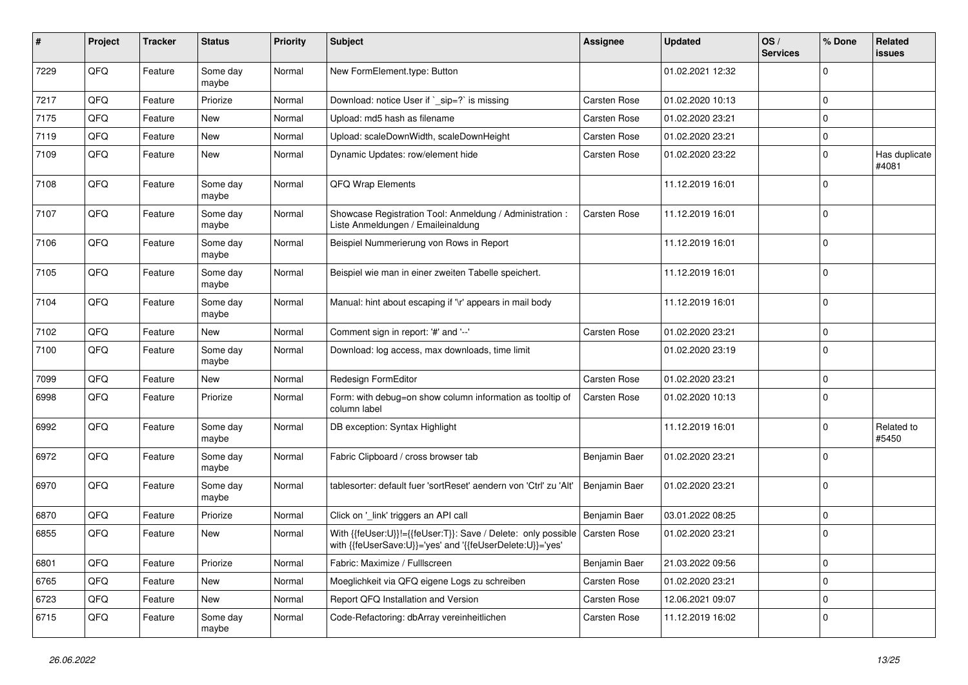| #    | Project | <b>Tracker</b> | <b>Status</b>     | <b>Priority</b> | Subject                                                                                                                    | Assignee      | <b>Updated</b>   | OS/<br><b>Services</b> | % Done      | Related<br>issues      |
|------|---------|----------------|-------------------|-----------------|----------------------------------------------------------------------------------------------------------------------------|---------------|------------------|------------------------|-------------|------------------------|
| 7229 | QFQ     | Feature        | Some day<br>maybe | Normal          | New FormElement.type: Button                                                                                               |               | 01.02.2021 12:32 |                        | $\mathbf 0$ |                        |
| 7217 | QFQ     | Feature        | Priorize          | Normal          | Download: notice User if `_sip=?` is missing                                                                               | Carsten Rose  | 01.02.2020 10:13 |                        | $\mathbf 0$ |                        |
| 7175 | QFQ     | Feature        | New               | Normal          | Upload: md5 hash as filename                                                                                               | Carsten Rose  | 01.02.2020 23:21 |                        | 0           |                        |
| 7119 | QFQ     | Feature        | New               | Normal          | Upload: scaleDownWidth, scaleDownHeight                                                                                    | Carsten Rose  | 01.02.2020 23:21 |                        | $\mathbf 0$ |                        |
| 7109 | QFQ     | Feature        | New               | Normal          | Dynamic Updates: row/element hide                                                                                          | Carsten Rose  | 01.02.2020 23:22 |                        | $\mathbf 0$ | Has duplicate<br>#4081 |
| 7108 | QFQ     | Feature        | Some day<br>maybe | Normal          | QFQ Wrap Elements                                                                                                          |               | 11.12.2019 16:01 |                        | $\Omega$    |                        |
| 7107 | QFQ     | Feature        | Some day<br>maybe | Normal          | Showcase Registration Tool: Anmeldung / Administration :<br>Liste Anmeldungen / Emaileinaldung                             | Carsten Rose  | 11.12.2019 16:01 |                        | $\Omega$    |                        |
| 7106 | QFQ     | Feature        | Some day<br>maybe | Normal          | Beispiel Nummerierung von Rows in Report                                                                                   |               | 11.12.2019 16:01 |                        | 0           |                        |
| 7105 | QFQ     | Feature        | Some day<br>maybe | Normal          | Beispiel wie man in einer zweiten Tabelle speichert.                                                                       |               | 11.12.2019 16:01 |                        | 0           |                        |
| 7104 | QFQ     | Feature        | Some day<br>maybe | Normal          | Manual: hint about escaping if '\r' appears in mail body                                                                   |               | 11.12.2019 16:01 |                        | $\Omega$    |                        |
| 7102 | QFQ     | Feature        | New               | Normal          | Comment sign in report: '#' and '--'                                                                                       | Carsten Rose  | 01.02.2020 23:21 |                        | 0           |                        |
| 7100 | QFQ     | Feature        | Some day<br>maybe | Normal          | Download: log access, max downloads, time limit                                                                            |               | 01.02.2020 23:19 |                        | $\Omega$    |                        |
| 7099 | QFQ     | Feature        | New               | Normal          | Redesign FormEditor                                                                                                        | Carsten Rose  | 01.02.2020 23:21 |                        | 0           |                        |
| 6998 | QFQ     | Feature        | Priorize          | Normal          | Form: with debug=on show column information as tooltip of<br>column label                                                  | Carsten Rose  | 01.02.2020 10:13 |                        | $\Omega$    |                        |
| 6992 | QFQ     | Feature        | Some day<br>maybe | Normal          | DB exception: Syntax Highlight                                                                                             |               | 11.12.2019 16:01 |                        | $\mathbf 0$ | Related to<br>#5450    |
| 6972 | QFQ     | Feature        | Some day<br>maybe | Normal          | Fabric Clipboard / cross browser tab                                                                                       | Benjamin Baer | 01.02.2020 23:21 |                        | $\mathbf 0$ |                        |
| 6970 | QFQ     | Feature        | Some day<br>maybe | Normal          | tablesorter: default fuer 'sortReset' aendern von 'Ctrl' zu 'Alt'                                                          | Benjamin Baer | 01.02.2020 23:21 |                        | $\Omega$    |                        |
| 6870 | QFQ     | Feature        | Priorize          | Normal          | Click on '_link' triggers an API call                                                                                      | Benjamin Baer | 03.01.2022 08:25 |                        | $\Omega$    |                        |
| 6855 | QFQ     | Feature        | New               | Normal          | With {{feUser:U}}!={{feUser:T}}: Save / Delete: only possible<br>with {{feUserSave:U}}='yes' and '{{feUserDelete:U}}='yes' | Carsten Rose  | 01.02.2020 23:21 |                        | $\mathbf 0$ |                        |
| 6801 | QFQ     | Feature        | Priorize          | Normal          | Fabric: Maximize / FullIscreen                                                                                             | Benjamin Baer | 21.03.2022 09:56 |                        | 0           |                        |
| 6765 | QFQ     | Feature        | New               | Normal          | Moeglichkeit via QFQ eigene Logs zu schreiben                                                                              | Carsten Rose  | 01.02.2020 23:21 |                        | 0           |                        |
| 6723 | QFQ     | Feature        | New               | Normal          | Report QFQ Installation and Version                                                                                        | Carsten Rose  | 12.06.2021 09:07 |                        | 0           |                        |
| 6715 | QFQ     | Feature        | Some day<br>maybe | Normal          | Code-Refactoring: dbArray vereinheitlichen                                                                                 | Carsten Rose  | 11.12.2019 16:02 |                        | 0           |                        |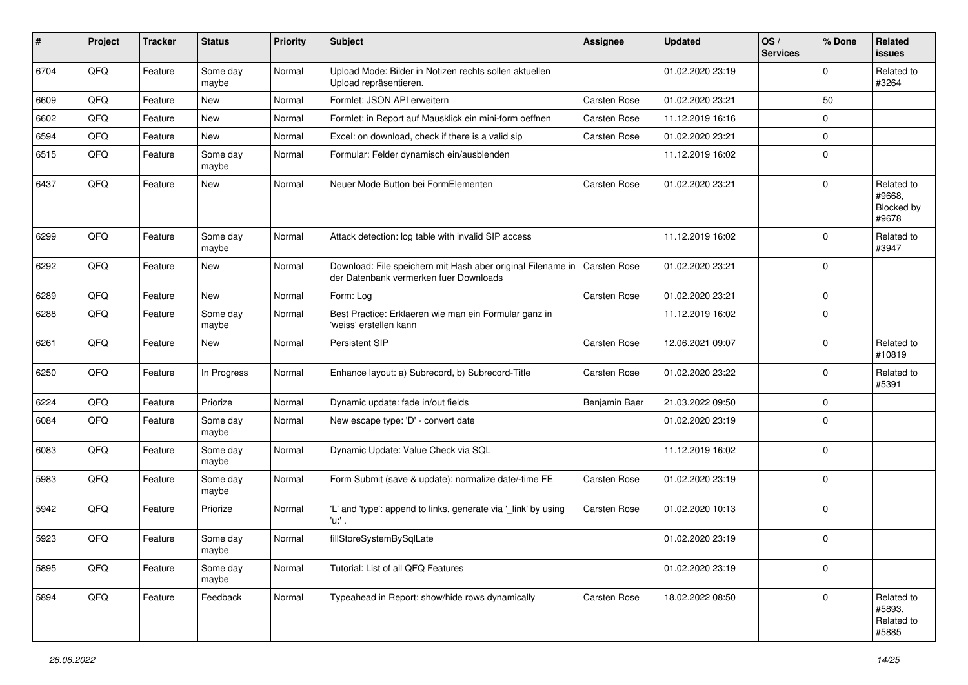| $\sharp$ | Project | <b>Tracker</b> | <b>Status</b>     | <b>Priority</b> | Subject                                                                                               | <b>Assignee</b>     | <b>Updated</b>   | OS/<br><b>Services</b> | % Done      | Related<br>issues                                  |
|----------|---------|----------------|-------------------|-----------------|-------------------------------------------------------------------------------------------------------|---------------------|------------------|------------------------|-------------|----------------------------------------------------|
| 6704     | QFQ     | Feature        | Some day<br>maybe | Normal          | Upload Mode: Bilder in Notizen rechts sollen aktuellen<br>Upload repräsentieren.                      |                     | 01.02.2020 23:19 |                        | $\mathbf 0$ | Related to<br>#3264                                |
| 6609     | QFQ     | Feature        | New               | Normal          | Formlet: JSON API erweitern                                                                           | Carsten Rose        | 01.02.2020 23:21 |                        | 50          |                                                    |
| 6602     | QFQ     | Feature        | New               | Normal          | Formlet: in Report auf Mausklick ein mini-form oeffnen                                                | Carsten Rose        | 11.12.2019 16:16 |                        | $\mathbf 0$ |                                                    |
| 6594     | QFQ     | Feature        | <b>New</b>        | Normal          | Excel: on download, check if there is a valid sip                                                     | Carsten Rose        | 01.02.2020 23:21 |                        | $\mathbf 0$ |                                                    |
| 6515     | QFQ     | Feature        | Some day<br>maybe | Normal          | Formular: Felder dynamisch ein/ausblenden                                                             |                     | 11.12.2019 16:02 |                        | $\mathbf 0$ |                                                    |
| 6437     | QFQ     | Feature        | New               | Normal          | Neuer Mode Button bei FormElementen                                                                   | Carsten Rose        | 01.02.2020 23:21 |                        | $\Omega$    | Related to<br>#9668.<br><b>Blocked by</b><br>#9678 |
| 6299     | QFQ     | Feature        | Some day<br>maybe | Normal          | Attack detection: log table with invalid SIP access                                                   |                     | 11.12.2019 16:02 |                        | $\mathbf 0$ | Related to<br>#3947                                |
| 6292     | QFQ     | Feature        | New               | Normal          | Download: File speichern mit Hash aber original Filename in<br>der Datenbank vermerken fuer Downloads | <b>Carsten Rose</b> | 01.02.2020 23:21 |                        | $\mathbf 0$ |                                                    |
| 6289     | QFQ     | Feature        | <b>New</b>        | Normal          | Form: Log                                                                                             | Carsten Rose        | 01.02.2020 23:21 |                        | $\mathbf 0$ |                                                    |
| 6288     | QFQ     | Feature        | Some day<br>maybe | Normal          | Best Practice: Erklaeren wie man ein Formular ganz in<br>'weiss' erstellen kann                       |                     | 11.12.2019 16:02 |                        | $\mathbf 0$ |                                                    |
| 6261     | QFQ     | Feature        | New               | Normal          | <b>Persistent SIP</b>                                                                                 | Carsten Rose        | 12.06.2021 09:07 |                        | $\mathbf 0$ | Related to<br>#10819                               |
| 6250     | QFQ     | Feature        | In Progress       | Normal          | Enhance layout: a) Subrecord, b) Subrecord-Title                                                      | Carsten Rose        | 01.02.2020 23:22 |                        | $\mathbf 0$ | Related to<br>#5391                                |
| 6224     | QFQ     | Feature        | Priorize          | Normal          | Dynamic update: fade in/out fields                                                                    | Benjamin Baer       | 21.03.2022 09:50 |                        | $\mathbf 0$ |                                                    |
| 6084     | QFQ     | Feature        | Some day<br>maybe | Normal          | New escape type: 'D' - convert date                                                                   |                     | 01.02.2020 23:19 |                        | $\mathbf 0$ |                                                    |
| 6083     | QFQ     | Feature        | Some day<br>maybe | Normal          | Dynamic Update: Value Check via SQL                                                                   |                     | 11.12.2019 16:02 |                        | $\mathbf 0$ |                                                    |
| 5983     | QFQ     | Feature        | Some day<br>maybe | Normal          | Form Submit (save & update): normalize date/-time FE                                                  | Carsten Rose        | 01.02.2020 23:19 |                        | $\mathbf 0$ |                                                    |
| 5942     | QFQ     | Feature        | Priorize          | Normal          | 'L' and 'type': append to links, generate via '_link' by using<br>'u:' .                              | Carsten Rose        | 01.02.2020 10:13 |                        | $\mathbf 0$ |                                                    |
| 5923     | QFQ     | Feature        | Some day<br>maybe | Normal          | fillStoreSystemBySqlLate                                                                              |                     | 01.02.2020 23:19 |                        | $\mathbf 0$ |                                                    |
| 5895     | QFQ     | Feature        | Some day<br>maybe | Normal          | Tutorial: List of all QFQ Features                                                                    |                     | 01.02.2020 23:19 |                        | $\mathbf 0$ |                                                    |
| 5894     | QFQ     | Feature        | Feedback          | Normal          | Typeahead in Report: show/hide rows dynamically                                                       | Carsten Rose        | 18.02.2022 08:50 |                        | $\Omega$    | Related to<br>#5893,<br>Related to<br>#5885        |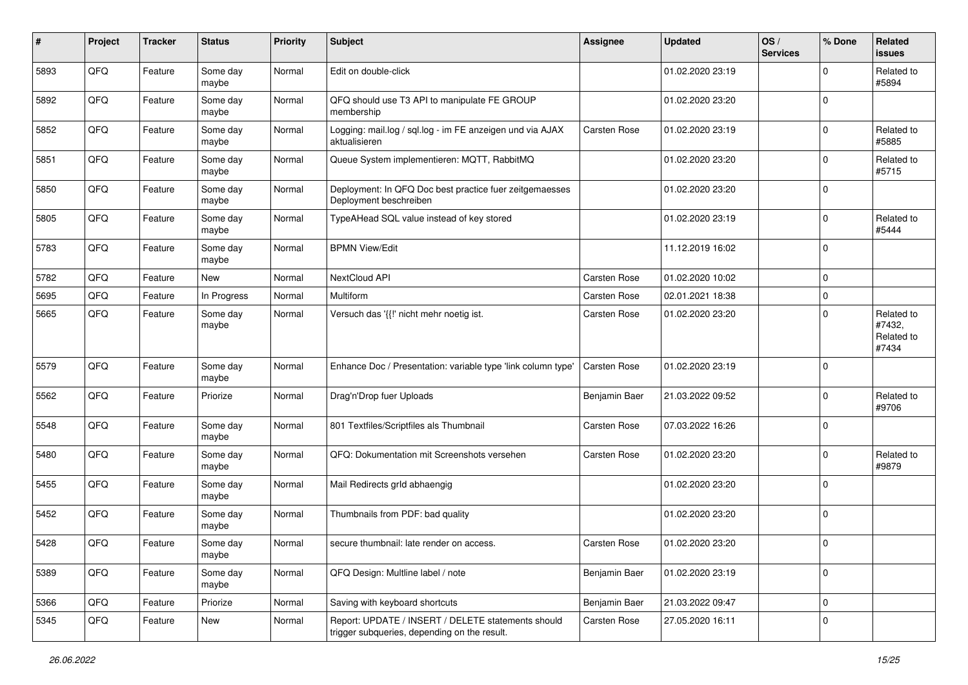| $\#$ | Project | <b>Tracker</b> | <b>Status</b>     | <b>Priority</b> | <b>Subject</b>                                                                                     | Assignee      | <b>Updated</b>   | OS/<br><b>Services</b> | % Done      | Related<br><b>issues</b>                    |
|------|---------|----------------|-------------------|-----------------|----------------------------------------------------------------------------------------------------|---------------|------------------|------------------------|-------------|---------------------------------------------|
| 5893 | QFQ     | Feature        | Some day<br>maybe | Normal          | Edit on double-click                                                                               |               | 01.02.2020 23:19 |                        | $\mathbf 0$ | Related to<br>#5894                         |
| 5892 | QFQ     | Feature        | Some day<br>maybe | Normal          | QFQ should use T3 API to manipulate FE GROUP<br>membership                                         |               | 01.02.2020 23:20 |                        | $\mathbf 0$ |                                             |
| 5852 | QFQ     | Feature        | Some day<br>maybe | Normal          | Logging: mail.log / sql.log - im FE anzeigen und via AJAX<br>aktualisieren                         | Carsten Rose  | 01.02.2020 23:19 |                        | $\Omega$    | Related to<br>#5885                         |
| 5851 | QFQ     | Feature        | Some day<br>maybe | Normal          | Queue System implementieren: MQTT, RabbitMQ                                                        |               | 01.02.2020 23:20 |                        | $\mathbf 0$ | Related to<br>#5715                         |
| 5850 | QFQ     | Feature        | Some day<br>maybe | Normal          | Deployment: In QFQ Doc best practice fuer zeitgemaesses<br>Deployment beschreiben                  |               | 01.02.2020 23:20 |                        | $\mathbf 0$ |                                             |
| 5805 | QFQ     | Feature        | Some day<br>maybe | Normal          | TypeAHead SQL value instead of key stored                                                          |               | 01.02.2020 23:19 |                        | $\mathbf 0$ | Related to<br>#5444                         |
| 5783 | QFQ     | Feature        | Some day<br>maybe | Normal          | <b>BPMN View/Edit</b>                                                                              |               | 11.12.2019 16:02 |                        | $\Omega$    |                                             |
| 5782 | QFQ     | Feature        | New               | Normal          | NextCloud API                                                                                      | Carsten Rose  | 01.02.2020 10:02 |                        | $\mathbf 0$ |                                             |
| 5695 | QFQ     | Feature        | In Progress       | Normal          | Multiform                                                                                          | Carsten Rose  | 02.01.2021 18:38 |                        | $\mathbf 0$ |                                             |
| 5665 | QFQ     | Feature        | Some day<br>maybe | Normal          | Versuch das '{{!' nicht mehr noetig ist.                                                           | Carsten Rose  | 01.02.2020 23:20 |                        | $\Omega$    | Related to<br>#7432,<br>Related to<br>#7434 |
| 5579 | QFQ     | Feature        | Some day<br>maybe | Normal          | Enhance Doc / Presentation: variable type 'link column type'                                       | Carsten Rose  | 01.02.2020 23:19 |                        | $\mathbf 0$ |                                             |
| 5562 | QFQ     | Feature        | Priorize          | Normal          | Drag'n'Drop fuer Uploads                                                                           | Benjamin Baer | 21.03.2022 09:52 |                        | $\Omega$    | Related to<br>#9706                         |
| 5548 | QFQ     | Feature        | Some day<br>maybe | Normal          | 801 Textfiles/Scriptfiles als Thumbnail                                                            | Carsten Rose  | 07.03.2022 16:26 |                        | $\mathbf 0$ |                                             |
| 5480 | QFQ     | Feature        | Some day<br>maybe | Normal          | QFQ: Dokumentation mit Screenshots versehen                                                        | Carsten Rose  | 01.02.2020 23:20 |                        | $\mathbf 0$ | Related to<br>#9879                         |
| 5455 | QFQ     | Feature        | Some day<br>maybe | Normal          | Mail Redirects grld abhaengig                                                                      |               | 01.02.2020 23:20 |                        | $\mathbf 0$ |                                             |
| 5452 | QFQ     | Feature        | Some day<br>maybe | Normal          | Thumbnails from PDF: bad quality                                                                   |               | 01.02.2020 23:20 |                        | $\mathbf 0$ |                                             |
| 5428 | QFQ     | Feature        | Some day<br>maybe | Normal          | secure thumbnail: late render on access.                                                           | Carsten Rose  | 01.02.2020 23:20 |                        | $\mathbf 0$ |                                             |
| 5389 | QFQ     | Feature        | Some day<br>maybe | Normal          | QFQ Design: Multline label / note                                                                  | Benjamin Baer | 01.02.2020 23:19 |                        | $\mathbf 0$ |                                             |
| 5366 | QFQ     | Feature        | Priorize          | Normal          | Saving with keyboard shortcuts                                                                     | Benjamin Baer | 21.03.2022 09:47 |                        | $\mathbf 0$ |                                             |
| 5345 | QFQ     | Feature        | New               | Normal          | Report: UPDATE / INSERT / DELETE statements should<br>trigger subqueries, depending on the result. | Carsten Rose  | 27.05.2020 16:11 |                        | 0           |                                             |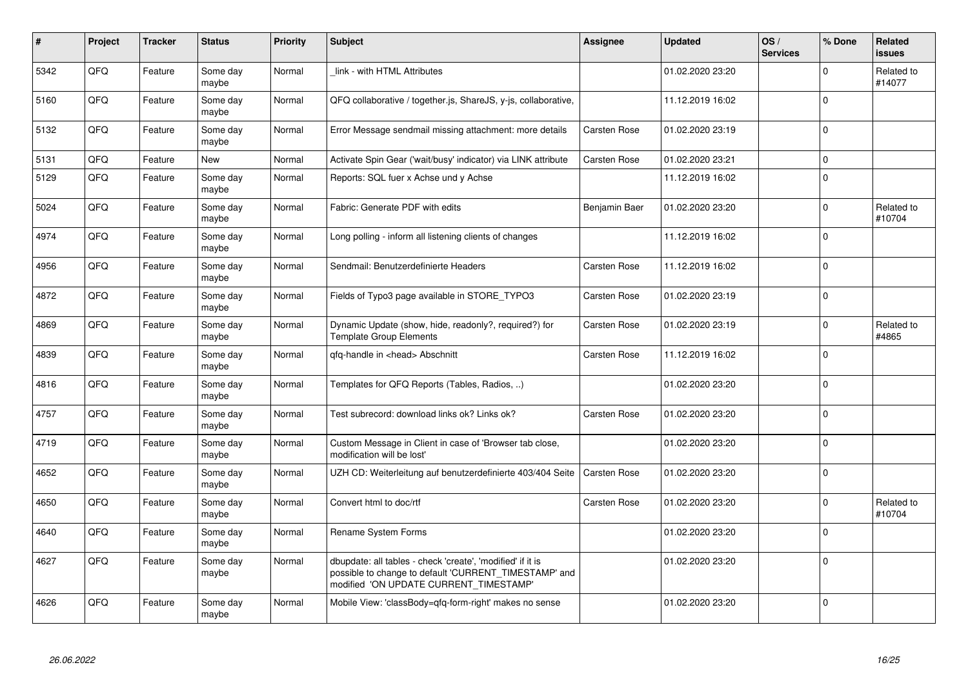| $\pmb{\sharp}$ | Project | <b>Tracker</b> | <b>Status</b>     | <b>Priority</b> | <b>Subject</b>                                                                                                                                                | <b>Assignee</b> | <b>Updated</b>   | OS/<br><b>Services</b> | % Done      | Related<br><b>issues</b> |
|----------------|---------|----------------|-------------------|-----------------|---------------------------------------------------------------------------------------------------------------------------------------------------------------|-----------------|------------------|------------------------|-------------|--------------------------|
| 5342           | QFQ     | Feature        | Some day<br>maybe | Normal          | link - with HTML Attributes                                                                                                                                   |                 | 01.02.2020 23:20 |                        | $\Omega$    | Related to<br>#14077     |
| 5160           | QFQ     | Feature        | Some day<br>maybe | Normal          | QFQ collaborative / together.js, ShareJS, y-js, collaborative,                                                                                                |                 | 11.12.2019 16:02 |                        | $\Omega$    |                          |
| 5132           | QFQ     | Feature        | Some day<br>maybe | Normal          | Error Message sendmail missing attachment: more details                                                                                                       | Carsten Rose    | 01.02.2020 23:19 |                        | $\Omega$    |                          |
| 5131           | QFQ     | Feature        | New               | Normal          | Activate Spin Gear ('wait/busy' indicator) via LINK attribute                                                                                                 | Carsten Rose    | 01.02.2020 23:21 |                        | $\mathbf 0$ |                          |
| 5129           | QFQ     | Feature        | Some day<br>maybe | Normal          | Reports: SQL fuer x Achse und y Achse                                                                                                                         |                 | 11.12.2019 16:02 |                        | $\Omega$    |                          |
| 5024           | QFQ     | Feature        | Some day<br>maybe | Normal          | Fabric: Generate PDF with edits                                                                                                                               | Benjamin Baer   | 01.02.2020 23:20 |                        | $\mathbf 0$ | Related to<br>#10704     |
| 4974           | QFQ     | Feature        | Some day<br>maybe | Normal          | Long polling - inform all listening clients of changes                                                                                                        |                 | 11.12.2019 16:02 |                        | $\Omega$    |                          |
| 4956           | QFQ     | Feature        | Some day<br>maybe | Normal          | Sendmail: Benutzerdefinierte Headers                                                                                                                          | Carsten Rose    | 11.12.2019 16:02 |                        | $\Omega$    |                          |
| 4872           | QFQ     | Feature        | Some day<br>maybe | Normal          | Fields of Typo3 page available in STORE TYPO3                                                                                                                 | Carsten Rose    | 01.02.2020 23:19 |                        | $\mathbf 0$ |                          |
| 4869           | QFQ     | Feature        | Some day<br>maybe | Normal          | Dynamic Update (show, hide, readonly?, required?) for<br><b>Template Group Elements</b>                                                                       | Carsten Rose    | 01.02.2020 23:19 |                        | $\Omega$    | Related to<br>#4865      |
| 4839           | QFQ     | Feature        | Some day<br>maybe | Normal          | gfg-handle in <head> Abschnitt</head>                                                                                                                         | Carsten Rose    | 11.12.2019 16:02 |                        | $\Omega$    |                          |
| 4816           | QFQ     | Feature        | Some day<br>maybe | Normal          | Templates for QFQ Reports (Tables, Radios, )                                                                                                                  |                 | 01.02.2020 23:20 |                        | $\mathbf 0$ |                          |
| 4757           | QFQ     | Feature        | Some day<br>maybe | Normal          | Test subrecord: download links ok? Links ok?                                                                                                                  | Carsten Rose    | 01.02.2020 23:20 |                        | $\Omega$    |                          |
| 4719           | QFQ     | Feature        | Some day<br>maybe | Normal          | Custom Message in Client in case of 'Browser tab close,<br>modification will be lost'                                                                         |                 | 01.02.2020 23:20 |                        | $\Omega$    |                          |
| 4652           | QFQ     | Feature        | Some day<br>maybe | Normal          | UZH CD: Weiterleitung auf benutzerdefinierte 403/404 Seite                                                                                                    | Carsten Rose    | 01.02.2020 23:20 |                        | $\mathbf 0$ |                          |
| 4650           | QFQ     | Feature        | Some day<br>maybe | Normal          | Convert html to doc/rtf                                                                                                                                       | Carsten Rose    | 01.02.2020 23:20 |                        | $\mathbf 0$ | Related to<br>#10704     |
| 4640           | QFQ     | Feature        | Some day<br>maybe | Normal          | Rename System Forms                                                                                                                                           |                 | 01.02.2020 23:20 |                        | $\mathbf 0$ |                          |
| 4627           | QFQ     | Feature        | Some day<br>maybe | Normal          | dbupdate: all tables - check 'create', 'modified' if it is<br>possible to change to default 'CURRENT_TIMESTAMP' and<br>modified 'ON UPDATE CURRENT_TIMESTAMP' |                 | 01.02.2020 23:20 |                        | $\Omega$    |                          |
| 4626           | QFQ     | Feature        | Some day<br>maybe | Normal          | Mobile View: 'classBody=qfq-form-right' makes no sense                                                                                                        |                 | 01.02.2020 23:20 |                        | $\Omega$    |                          |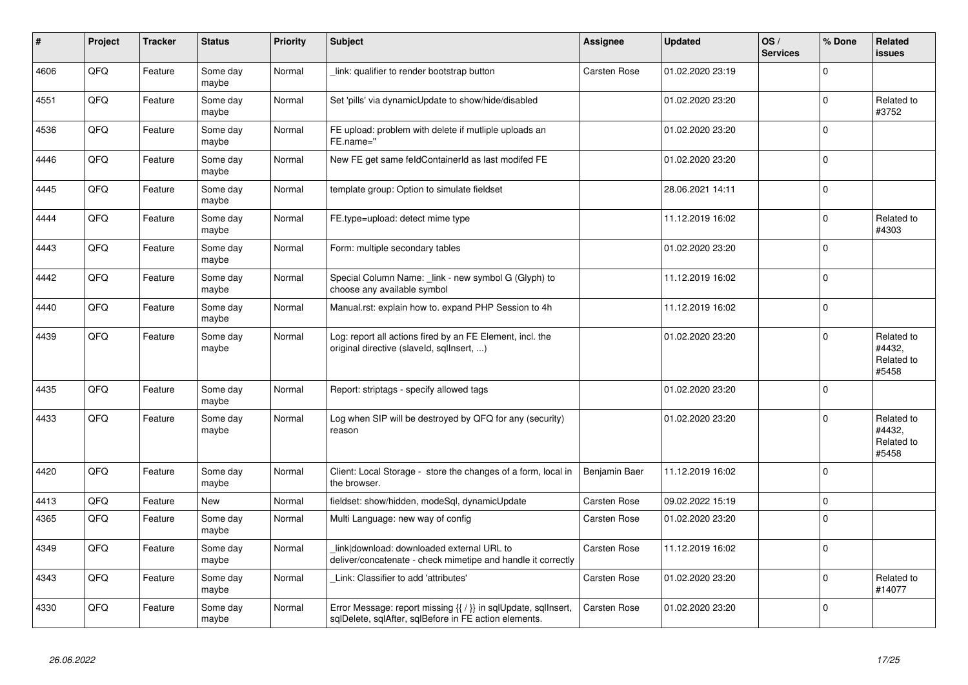| #    | Project | <b>Tracker</b> | <b>Status</b>     | <b>Priority</b> | <b>Subject</b>                                                                                                                     | <b>Assignee</b> | <b>Updated</b>   | OS/<br><b>Services</b> | % Done      | Related<br>issues                           |
|------|---------|----------------|-------------------|-----------------|------------------------------------------------------------------------------------------------------------------------------------|-----------------|------------------|------------------------|-------------|---------------------------------------------|
| 4606 | QFQ     | Feature        | Some day<br>maybe | Normal          | link: qualifier to render bootstrap button                                                                                         | Carsten Rose    | 01.02.2020 23:19 |                        | $\Omega$    |                                             |
| 4551 | QFQ     | Feature        | Some day<br>maybe | Normal          | Set 'pills' via dynamicUpdate to show/hide/disabled                                                                                |                 | 01.02.2020 23:20 |                        | 0           | Related to<br>#3752                         |
| 4536 | QFQ     | Feature        | Some day<br>maybe | Normal          | FE upload: problem with delete if mutliple uploads an<br>FE.name="                                                                 |                 | 01.02.2020 23:20 |                        | $\Omega$    |                                             |
| 4446 | QFQ     | Feature        | Some day<br>maybe | Normal          | New FE get same feldContainerId as last modifed FE                                                                                 |                 | 01.02.2020 23:20 |                        | $\Omega$    |                                             |
| 4445 | QFQ     | Feature        | Some day<br>maybe | Normal          | template group: Option to simulate fieldset                                                                                        |                 | 28.06.2021 14:11 |                        | $\mathbf 0$ |                                             |
| 4444 | QFQ     | Feature        | Some day<br>maybe | Normal          | FE.type=upload: detect mime type                                                                                                   |                 | 11.12.2019 16:02 |                        | $\pmb{0}$   | Related to<br>#4303                         |
| 4443 | QFQ     | Feature        | Some day<br>maybe | Normal          | Form: multiple secondary tables                                                                                                    |                 | 01.02.2020 23:20 |                        | $\mathbf 0$ |                                             |
| 4442 | QFQ     | Feature        | Some day<br>maybe | Normal          | Special Column Name: link - new symbol G (Glyph) to<br>choose any available symbol                                                 |                 | 11.12.2019 16:02 |                        | $\Omega$    |                                             |
| 4440 | QFQ     | Feature        | Some day<br>maybe | Normal          | Manual.rst: explain how to. expand PHP Session to 4h                                                                               |                 | 11.12.2019 16:02 |                        | 0           |                                             |
| 4439 | QFQ     | Feature        | Some day<br>maybe | Normal          | Log: report all actions fired by an FE Element, incl. the<br>original directive (slaveld, sqlInsert, )                             |                 | 01.02.2020 23:20 |                        | 0           | Related to<br>#4432,<br>Related to<br>#5458 |
| 4435 | QFQ     | Feature        | Some day<br>maybe | Normal          | Report: striptags - specify allowed tags                                                                                           |                 | 01.02.2020 23:20 |                        | $\Omega$    |                                             |
| 4433 | QFQ     | Feature        | Some day<br>maybe | Normal          | Log when SIP will be destroyed by QFQ for any (security)<br>reason                                                                 |                 | 01.02.2020 23:20 |                        | 0           | Related to<br>#4432,<br>Related to<br>#5458 |
| 4420 | QFQ     | Feature        | Some day<br>maybe | Normal          | Client: Local Storage - store the changes of a form, local in<br>the browser.                                                      | Benjamin Baer   | 11.12.2019 16:02 |                        | $\Omega$    |                                             |
| 4413 | QFQ     | Feature        | <b>New</b>        | Normal          | fieldset: show/hidden, modeSql, dynamicUpdate                                                                                      | Carsten Rose    | 09.02.2022 15:19 |                        | $\Omega$    |                                             |
| 4365 | QFQ     | Feature        | Some day<br>maybe | Normal          | Multi Language: new way of config                                                                                                  | Carsten Rose    | 01.02.2020 23:20 |                        | $\Omega$    |                                             |
| 4349 | QFQ     | Feature        | Some day<br>maybe | Normal          | link download: downloaded external URL to<br>deliver/concatenate - check mimetipe and handle it correctly                          | Carsten Rose    | 11.12.2019 16:02 |                        | $\Omega$    |                                             |
| 4343 | QFQ     | Feature        | Some day<br>maybe | Normal          | Link: Classifier to add 'attributes'                                                                                               | Carsten Rose    | 01.02.2020 23:20 |                        | $\pmb{0}$   | Related to<br>#14077                        |
| 4330 | QFQ     | Feature        | Some day<br>maybe | Normal          | Error Message: report missing $\{\{\ \right\}\}$ in sqlUpdate, sqlInsert,<br>sqlDelete, sqlAfter, sqlBefore in FE action elements. | Carsten Rose    | 01.02.2020 23:20 |                        | $\Omega$    |                                             |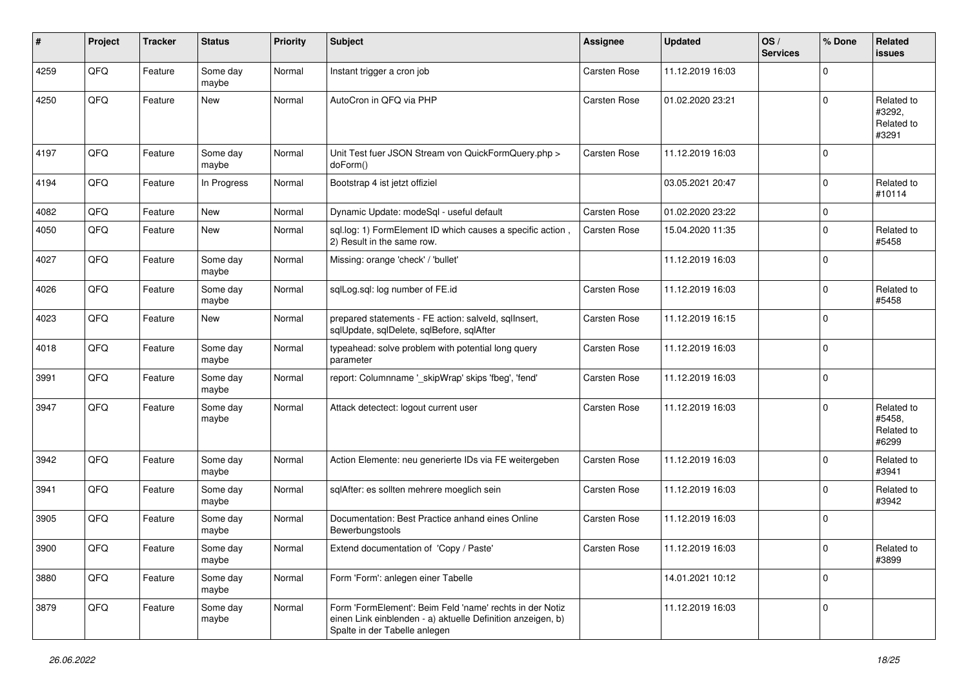| ∦    | Project | <b>Tracker</b> | <b>Status</b>     | <b>Priority</b> | <b>Subject</b>                                                                                                                                           | Assignee     | <b>Updated</b>   | OS/<br><b>Services</b> | % Done      | Related<br>issues                           |
|------|---------|----------------|-------------------|-----------------|----------------------------------------------------------------------------------------------------------------------------------------------------------|--------------|------------------|------------------------|-------------|---------------------------------------------|
| 4259 | QFQ     | Feature        | Some day<br>maybe | Normal          | Instant trigger a cron job                                                                                                                               | Carsten Rose | 11.12.2019 16:03 |                        | $\mathbf 0$ |                                             |
| 4250 | QFQ     | Feature        | New               | Normal          | AutoCron in QFQ via PHP                                                                                                                                  | Carsten Rose | 01.02.2020 23:21 |                        | $\Omega$    | Related to<br>#3292,<br>Related to<br>#3291 |
| 4197 | QFQ     | Feature        | Some day<br>maybe | Normal          | Unit Test fuer JSON Stream von QuickFormQuery.php ><br>doForm()                                                                                          | Carsten Rose | 11.12.2019 16:03 |                        | $\Omega$    |                                             |
| 4194 | QFQ     | Feature        | In Progress       | Normal          | Bootstrap 4 ist jetzt offiziel                                                                                                                           |              | 03.05.2021 20:47 |                        | $\Omega$    | Related to<br>#10114                        |
| 4082 | QFQ     | Feature        | New               | Normal          | Dynamic Update: modeSql - useful default                                                                                                                 | Carsten Rose | 01.02.2020 23:22 |                        | $\Omega$    |                                             |
| 4050 | QFQ     | Feature        | New               | Normal          | sql.log: 1) FormElement ID which causes a specific action,<br>2) Result in the same row.                                                                 | Carsten Rose | 15.04.2020 11:35 |                        | $\Omega$    | Related to<br>#5458                         |
| 4027 | QFQ     | Feature        | Some day<br>maybe | Normal          | Missing: orange 'check' / 'bullet'                                                                                                                       |              | 11.12.2019 16:03 |                        | $\Omega$    |                                             |
| 4026 | QFQ     | Feature        | Some day<br>maybe | Normal          | sqlLog.sql: log number of FE.id                                                                                                                          | Carsten Rose | 11.12.2019 16:03 |                        | $\Omega$    | Related to<br>#5458                         |
| 4023 | QFQ     | Feature        | New               | Normal          | prepared statements - FE action: salveld, sqlInsert,<br>sqlUpdate, sqlDelete, sqlBefore, sqlAfter                                                        | Carsten Rose | 11.12.2019 16:15 |                        | $\Omega$    |                                             |
| 4018 | QFQ     | Feature        | Some day<br>maybe | Normal          | typeahead: solve problem with potential long query<br>parameter                                                                                          | Carsten Rose | 11.12.2019 16:03 |                        | $\Omega$    |                                             |
| 3991 | QFQ     | Feature        | Some day<br>maybe | Normal          | report: Columnname '_skipWrap' skips 'fbeg', 'fend'                                                                                                      | Carsten Rose | 11.12.2019 16:03 |                        | $\mathbf 0$ |                                             |
| 3947 | QFQ     | Feature        | Some day<br>maybe | Normal          | Attack detectect: logout current user                                                                                                                    | Carsten Rose | 11.12.2019 16:03 |                        | $\Omega$    | Related to<br>#5458,<br>Related to<br>#6299 |
| 3942 | QFQ     | Feature        | Some day<br>maybe | Normal          | Action Elemente: neu generierte IDs via FE weitergeben                                                                                                   | Carsten Rose | 11.12.2019 16:03 |                        | $\Omega$    | Related to<br>#3941                         |
| 3941 | QFQ     | Feature        | Some day<br>maybe | Normal          | sqlAfter: es sollten mehrere moeglich sein                                                                                                               | Carsten Rose | 11.12.2019 16:03 |                        | $\Omega$    | Related to<br>#3942                         |
| 3905 | QFQ     | Feature        | Some day<br>maybe | Normal          | Documentation: Best Practice anhand eines Online<br>Bewerbungstools                                                                                      | Carsten Rose | 11.12.2019 16:03 |                        | $\Omega$    |                                             |
| 3900 | QFQ     | Feature        | Some day<br>maybe | Normal          | Extend documentation of 'Copy / Paste'                                                                                                                   | Carsten Rose | 11.12.2019 16:03 |                        | $\mathsf 0$ | Related to<br>#3899                         |
| 3880 | QFQ     | Feature        | Some day<br>maybe | Normal          | Form 'Form': anlegen einer Tabelle                                                                                                                       |              | 14.01.2021 10:12 |                        | $\pmb{0}$   |                                             |
| 3879 | QFQ     | Feature        | Some day<br>maybe | Normal          | Form 'FormElement': Beim Feld 'name' rechts in der Notiz<br>einen Link einblenden - a) aktuelle Definition anzeigen, b)<br>Spalte in der Tabelle anlegen |              | 11.12.2019 16:03 |                        | 0           |                                             |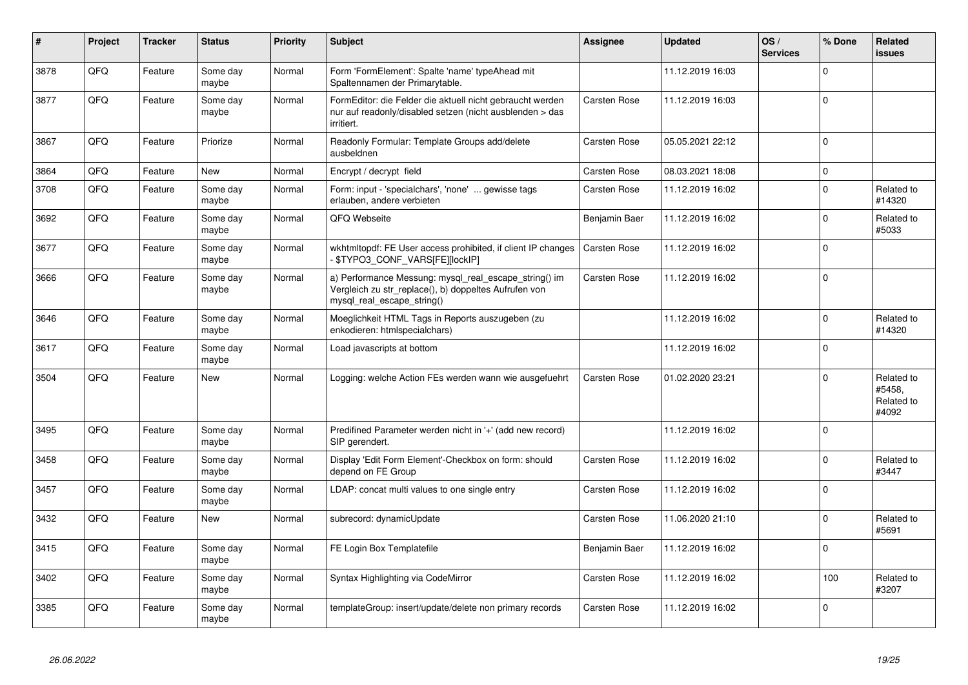| #    | Project | <b>Tracker</b> | <b>Status</b>     | <b>Priority</b> | <b>Subject</b>                                                                                                                               | <b>Assignee</b>     | <b>Updated</b>   | OS/<br><b>Services</b> | % Done      | Related<br>issues                           |
|------|---------|----------------|-------------------|-----------------|----------------------------------------------------------------------------------------------------------------------------------------------|---------------------|------------------|------------------------|-------------|---------------------------------------------|
| 3878 | QFQ     | Feature        | Some day<br>maybe | Normal          | Form 'FormElement': Spalte 'name' typeAhead mit<br>Spaltennamen der Primarytable.                                                            |                     | 11.12.2019 16:03 |                        | $\Omega$    |                                             |
| 3877 | QFQ     | Feature        | Some day<br>maybe | Normal          | FormEditor: die Felder die aktuell nicht gebraucht werden<br>nur auf readonly/disabled setzen (nicht ausblenden > das<br>irritiert.          | <b>Carsten Rose</b> | 11.12.2019 16:03 |                        | $\Omega$    |                                             |
| 3867 | QFQ     | Feature        | Priorize          | Normal          | Readonly Formular: Template Groups add/delete<br>ausbeldnen                                                                                  | <b>Carsten Rose</b> | 05.05.2021 22:12 |                        | $\Omega$    |                                             |
| 3864 | QFQ     | Feature        | <b>New</b>        | Normal          | Encrypt / decrypt field                                                                                                                      | <b>Carsten Rose</b> | 08.03.2021 18:08 |                        | 0           |                                             |
| 3708 | QFQ     | Feature        | Some day<br>maybe | Normal          | Form: input - 'specialchars', 'none'  gewisse tags<br>erlauben, andere verbieten                                                             | Carsten Rose        | 11.12.2019 16:02 |                        | $\Omega$    | Related to<br>#14320                        |
| 3692 | QFQ     | Feature        | Some day<br>maybe | Normal          | QFQ Webseite                                                                                                                                 | Benjamin Baer       | 11.12.2019 16:02 |                        | $\Omega$    | Related to<br>#5033                         |
| 3677 | QFQ     | Feature        | Some day<br>maybe | Normal          | wkhtmltopdf: FE User access prohibited, if client IP changes<br>\$TYPO3_CONF_VARS[FE][lockIP]                                                | Carsten Rose        | 11.12.2019 16:02 |                        | $\Omega$    |                                             |
| 3666 | QFQ     | Feature        | Some day<br>maybe | Normal          | a) Performance Messung: mysql_real_escape_string() im<br>Vergleich zu str replace(), b) doppeltes Aufrufen von<br>mysql_real_escape_string() | <b>Carsten Rose</b> | 11.12.2019 16:02 |                        | $\Omega$    |                                             |
| 3646 | QFQ     | Feature        | Some day<br>maybe | Normal          | Moeglichkeit HTML Tags in Reports auszugeben (zu<br>enkodieren: htmlspecialchars)                                                            |                     | 11.12.2019 16:02 |                        | 0           | Related to<br>#14320                        |
| 3617 | QFQ     | Feature        | Some day<br>maybe | Normal          | Load javascripts at bottom                                                                                                                   |                     | 11.12.2019 16:02 |                        | $\Omega$    |                                             |
| 3504 | QFQ     | Feature        | New               | Normal          | Logging: welche Action FEs werden wann wie ausgefuehrt                                                                                       | <b>Carsten Rose</b> | 01.02.2020 23:21 |                        | $\Omega$    | Related to<br>#5458.<br>Related to<br>#4092 |
| 3495 | QFQ     | Feature        | Some day<br>maybe | Normal          | Predifined Parameter werden nicht in '+' (add new record)<br>SIP gerendert.                                                                  |                     | 11.12.2019 16:02 |                        | $\mathbf 0$ |                                             |
| 3458 | QFQ     | Feature        | Some day<br>maybe | Normal          | Display 'Edit Form Element'-Checkbox on form: should<br>depend on FE Group                                                                   | <b>Carsten Rose</b> | 11.12.2019 16:02 |                        | $\Omega$    | Related to<br>#3447                         |
| 3457 | QFQ     | Feature        | Some dav<br>maybe | Normal          | LDAP: concat multi values to one single entry                                                                                                | <b>Carsten Rose</b> | 11.12.2019 16:02 |                        | $\mathbf 0$ |                                             |
| 3432 | QFQ     | Feature        | <b>New</b>        | Normal          | subrecord: dynamicUpdate                                                                                                                     | <b>Carsten Rose</b> | 11.06.2020 21:10 |                        | $\Omega$    | Related to<br>#5691                         |
| 3415 | QFQ     | Feature        | Some day<br>maybe | Normal          | FE Login Box Templatefile                                                                                                                    | Benjamin Baer       | 11.12.2019 16:02 |                        | $\Omega$    |                                             |
| 3402 | QFQ     | Feature        | Some day<br>maybe | Normal          | Syntax Highlighting via CodeMirror                                                                                                           | Carsten Rose        | 11.12.2019 16:02 |                        | 100         | Related to<br>#3207                         |
| 3385 | QFQ     | Feature        | Some day<br>maybe | Normal          | templateGroup: insert/update/delete non primary records                                                                                      | <b>Carsten Rose</b> | 11.12.2019 16:02 |                        | $\Omega$    |                                             |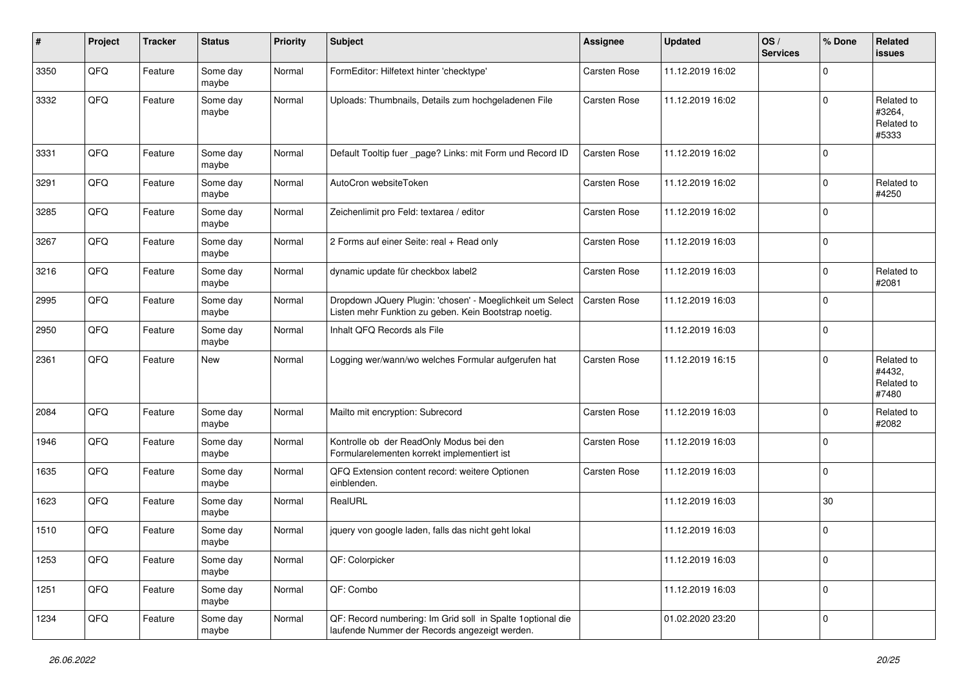| $\sharp$ | Project | <b>Tracker</b> | <b>Status</b>     | <b>Priority</b> | <b>Subject</b>                                                                                                     | <b>Assignee</b> | <b>Updated</b>   | OS/<br><b>Services</b> | % Done      | Related<br><b>issues</b>                    |
|----------|---------|----------------|-------------------|-----------------|--------------------------------------------------------------------------------------------------------------------|-----------------|------------------|------------------------|-------------|---------------------------------------------|
| 3350     | QFQ     | Feature        | Some day<br>maybe | Normal          | FormEditor: Hilfetext hinter 'checktype'                                                                           | Carsten Rose    | 11.12.2019 16:02 |                        | $\Omega$    |                                             |
| 3332     | QFQ     | Feature        | Some day<br>maybe | Normal          | Uploads: Thumbnails, Details zum hochgeladenen File                                                                | Carsten Rose    | 11.12.2019 16:02 |                        | $\mathbf 0$ | Related to<br>#3264,<br>Related to<br>#5333 |
| 3331     | QFQ     | Feature        | Some day<br>maybe | Normal          | Default Tooltip fuer _page? Links: mit Form und Record ID                                                          | Carsten Rose    | 11.12.2019 16:02 |                        | $\mathbf 0$ |                                             |
| 3291     | QFQ     | Feature        | Some day<br>maybe | Normal          | AutoCron websiteToken                                                                                              | Carsten Rose    | 11.12.2019 16:02 |                        | $\mathbf 0$ | Related to<br>#4250                         |
| 3285     | QFQ     | Feature        | Some day<br>maybe | Normal          | Zeichenlimit pro Feld: textarea / editor                                                                           | Carsten Rose    | 11.12.2019 16:02 |                        | $\mathbf 0$ |                                             |
| 3267     | QFQ     | Feature        | Some day<br>maybe | Normal          | 2 Forms auf einer Seite: real + Read only                                                                          | Carsten Rose    | 11.12.2019 16:03 |                        | $\mathbf 0$ |                                             |
| 3216     | QFQ     | Feature        | Some day<br>maybe | Normal          | dynamic update für checkbox label2                                                                                 | Carsten Rose    | 11.12.2019 16:03 |                        | $\mathbf 0$ | Related to<br>#2081                         |
| 2995     | QFQ     | Feature        | Some day<br>maybe | Normal          | Dropdown JQuery Plugin: 'chosen' - Moeglichkeit um Select<br>Listen mehr Funktion zu geben. Kein Bootstrap noetig. | Carsten Rose    | 11.12.2019 16:03 |                        | $\mathbf 0$ |                                             |
| 2950     | QFQ     | Feature        | Some day<br>maybe | Normal          | Inhalt QFQ Records als File                                                                                        |                 | 11.12.2019 16:03 |                        | $\mathbf 0$ |                                             |
| 2361     | QFQ     | Feature        | New               | Normal          | Logging wer/wann/wo welches Formular aufgerufen hat                                                                | Carsten Rose    | 11.12.2019 16:15 |                        | $\mathbf 0$ | Related to<br>#4432,<br>Related to<br>#7480 |
| 2084     | QFQ     | Feature        | Some day<br>maybe | Normal          | Mailto mit encryption: Subrecord                                                                                   | Carsten Rose    | 11.12.2019 16:03 |                        | $\Omega$    | Related to<br>#2082                         |
| 1946     | QFQ     | Feature        | Some day<br>maybe | Normal          | Kontrolle ob der ReadOnly Modus bei den<br>Formularelementen korrekt implementiert ist                             | Carsten Rose    | 11.12.2019 16:03 |                        | $\mathbf 0$ |                                             |
| 1635     | QFQ     | Feature        | Some day<br>maybe | Normal          | QFQ Extension content record: weitere Optionen<br>einblenden.                                                      | Carsten Rose    | 11.12.2019 16:03 |                        | $\mathbf 0$ |                                             |
| 1623     | QFQ     | Feature        | Some day<br>maybe | Normal          | RealURL                                                                                                            |                 | 11.12.2019 16:03 |                        | 30          |                                             |
| 1510     | QFQ     | Feature        | Some day<br>maybe | Normal          | jquery von google laden, falls das nicht geht lokal                                                                |                 | 11.12.2019 16:03 |                        | $\mathbf 0$ |                                             |
| 1253     | QFQ     | Feature        | Some day<br>maybe | Normal          | QF: Colorpicker                                                                                                    |                 | 11.12.2019 16:03 |                        | 0           |                                             |
| 1251     | QFQ     | Feature        | Some day<br>maybe | Normal          | QF: Combo                                                                                                          |                 | 11.12.2019 16:03 |                        | $\mathsf 0$ |                                             |
| 1234     | QFQ     | Feature        | Some day<br>maybe | Normal          | QF: Record numbering: Im Grid soll in Spalte 1 optional die<br>laufende Nummer der Records angezeigt werden.       |                 | 01.02.2020 23:20 |                        | $\mathbf 0$ |                                             |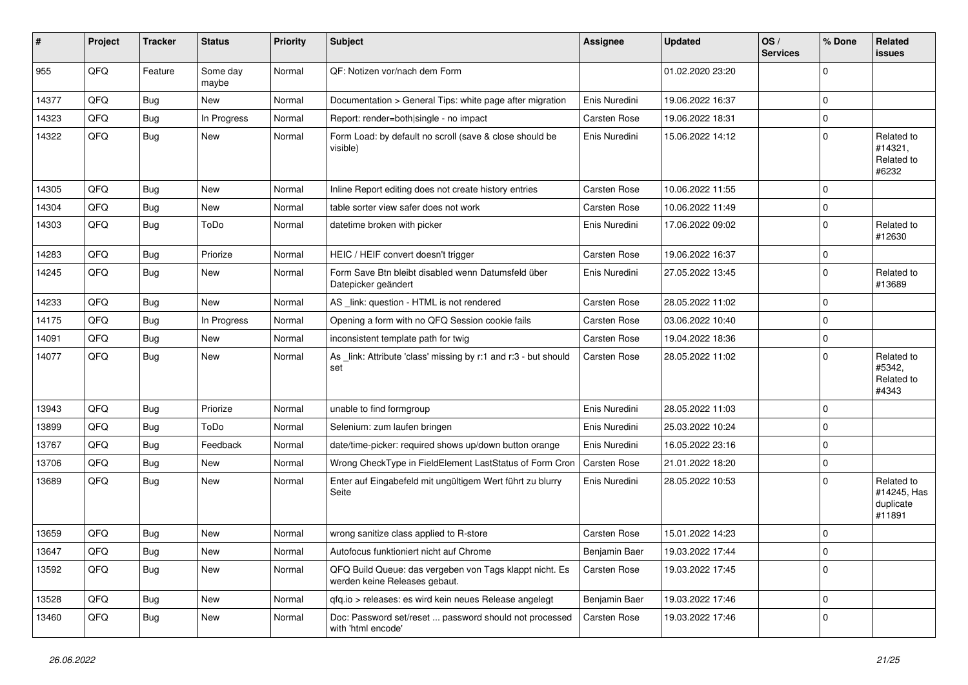| #     | Project | <b>Tracker</b> | <b>Status</b>     | <b>Priority</b> | <b>Subject</b>                                                                           | <b>Assignee</b> | <b>Updated</b>   | OS/<br><b>Services</b> | % Done      | <b>Related</b><br>issues                         |
|-------|---------|----------------|-------------------|-----------------|------------------------------------------------------------------------------------------|-----------------|------------------|------------------------|-------------|--------------------------------------------------|
| 955   | QFQ     | Feature        | Some day<br>maybe | Normal          | QF: Notizen vor/nach dem Form                                                            |                 | 01.02.2020 23:20 |                        | $\Omega$    |                                                  |
| 14377 | QFQ     | <b>Bug</b>     | New               | Normal          | Documentation > General Tips: white page after migration                                 | Enis Nuredini   | 19.06.2022 16:37 |                        | 0           |                                                  |
| 14323 | QFQ     | <b>Bug</b>     | In Progress       | Normal          | Report: render=both single - no impact                                                   | Carsten Rose    | 19.06.2022 18:31 |                        | 0           |                                                  |
| 14322 | QFQ     | Bug            | <b>New</b>        | Normal          | Form Load: by default no scroll (save & close should be<br>visible)                      | Enis Nuredini   | 15.06.2022 14:12 |                        | 0           | Related to<br>#14321,<br>Related to<br>#6232     |
| 14305 | QFQ     | <b>Bug</b>     | New               | Normal          | Inline Report editing does not create history entries                                    | Carsten Rose    | 10.06.2022 11:55 |                        | 0           |                                                  |
| 14304 | QFQ     | <b>Bug</b>     | <b>New</b>        | Normal          | table sorter view safer does not work                                                    | Carsten Rose    | 10.06.2022 11:49 |                        | 0           |                                                  |
| 14303 | QFQ     | <b>Bug</b>     | ToDo              | Normal          | datetime broken with picker                                                              | Enis Nuredini   | 17.06.2022 09:02 |                        | $\Omega$    | Related to<br>#12630                             |
| 14283 | QFQ     | <b>Bug</b>     | Priorize          | Normal          | HEIC / HEIF convert doesn't trigger                                                      | Carsten Rose    | 19.06.2022 16:37 |                        | 0           |                                                  |
| 14245 | QFQ     | Bug            | <b>New</b>        | Normal          | Form Save Btn bleibt disabled wenn Datumsfeld über<br>Datepicker geändert                | Enis Nuredini   | 27.05.2022 13:45 |                        | $\Omega$    | Related to<br>#13689                             |
| 14233 | QFQ     | <b>Bug</b>     | New               | Normal          | AS _link: question - HTML is not rendered                                                | Carsten Rose    | 28.05.2022 11:02 |                        | 0           |                                                  |
| 14175 | QFQ     | <b>Bug</b>     | In Progress       | Normal          | Opening a form with no QFQ Session cookie fails                                          | Carsten Rose    | 03.06.2022 10:40 |                        | 0           |                                                  |
| 14091 | QFQ     | Bug            | <b>New</b>        | Normal          | inconsistent template path for twig                                                      | Carsten Rose    | 19.04.2022 18:36 |                        | 0           |                                                  |
| 14077 | QFQ     | Bug            | <b>New</b>        | Normal          | As link: Attribute 'class' missing by r:1 and r:3 - but should<br>set                    | Carsten Rose    | 28.05.2022 11:02 |                        | 0           | Related to<br>#5342,<br>Related to<br>#4343      |
| 13943 | QFQ     | <b>Bug</b>     | Priorize          | Normal          | unable to find formgroup                                                                 | Enis Nuredini   | 28.05.2022 11:03 |                        | $\mathbf 0$ |                                                  |
| 13899 | QFQ     | <b>Bug</b>     | ToDo              | Normal          | Selenium: zum laufen bringen                                                             | Enis Nuredini   | 25.03.2022 10:24 |                        | 0           |                                                  |
| 13767 | QFQ     | <b>Bug</b>     | Feedback          | Normal          | date/time-picker: required shows up/down button orange                                   | Enis Nuredini   | 16.05.2022 23:16 |                        | $\mathbf 0$ |                                                  |
| 13706 | QFQ     | <b>Bug</b>     | New               | Normal          | Wrong CheckType in FieldElement LastStatus of Form Cron                                  | Carsten Rose    | 21.01.2022 18:20 |                        | 0           |                                                  |
| 13689 | QFQ     | Bug            | <b>New</b>        | Normal          | Enter auf Eingabefeld mit ungültigem Wert führt zu blurry<br>Seite                       | Enis Nuredini   | 28.05.2022 10:53 |                        | 0           | Related to<br>#14245, Has<br>duplicate<br>#11891 |
| 13659 | QFQ     | <b>Bug</b>     | <b>New</b>        | Normal          | wrong sanitize class applied to R-store                                                  | Carsten Rose    | 15.01.2022 14:23 |                        | $\mathbf 0$ |                                                  |
| 13647 | QFQ     | Bug            | New               | Normal          | Autofocus funktioniert nicht auf Chrome                                                  | Benjamin Baer   | 19.03.2022 17:44 |                        | 0           |                                                  |
| 13592 | QFQ     | Bug            | New               | Normal          | QFQ Build Queue: das vergeben von Tags klappt nicht. Es<br>werden keine Releases gebaut. | Carsten Rose    | 19.03.2022 17:45 |                        | 0           |                                                  |
| 13528 | QFQ     | Bug            | New               | Normal          | qfq.io > releases: es wird kein neues Release angelegt                                   | Benjamin Baer   | 19.03.2022 17:46 |                        | 0           |                                                  |
| 13460 | QFQ     | <b>Bug</b>     | New               | Normal          | Doc: Password set/reset  password should not processed<br>with 'html encode'             | Carsten Rose    | 19.03.2022 17:46 |                        | 0           |                                                  |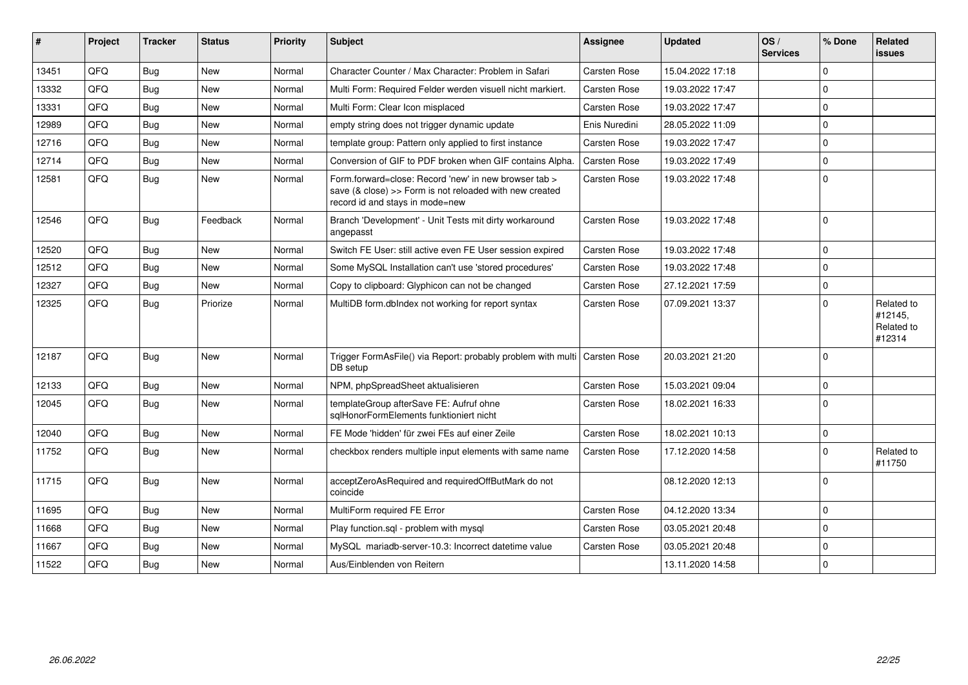| #     | Project | <b>Tracker</b> | <b>Status</b> | Priority | <b>Subject</b>                                                                                                                                      | <b>Assignee</b>     | <b>Updated</b>   | OS/<br><b>Services</b> | % Done      | Related<br><b>issues</b>                      |
|-------|---------|----------------|---------------|----------|-----------------------------------------------------------------------------------------------------------------------------------------------------|---------------------|------------------|------------------------|-------------|-----------------------------------------------|
| 13451 | QFQ     | Bug            | New           | Normal   | Character Counter / Max Character: Problem in Safari                                                                                                | <b>Carsten Rose</b> | 15.04.2022 17:18 |                        | $\mathbf 0$ |                                               |
| 13332 | QFQ     | <b>Bug</b>     | <b>New</b>    | Normal   | Multi Form: Required Felder werden visuell nicht markiert.                                                                                          | <b>Carsten Rose</b> | 19.03.2022 17:47 |                        | $\Omega$    |                                               |
| 13331 | QFQ     | <b>Bug</b>     | New           | Normal   | Multi Form: Clear Icon misplaced                                                                                                                    | <b>Carsten Rose</b> | 19.03.2022 17:47 |                        | $\mathbf 0$ |                                               |
| 12989 | QFQ     | Bug            | New           | Normal   | empty string does not trigger dynamic update                                                                                                        | Enis Nuredini       | 28.05.2022 11:09 |                        | $\mathbf 0$ |                                               |
| 12716 | QFQ     | <b>Bug</b>     | <b>New</b>    | Normal   | template group: Pattern only applied to first instance                                                                                              | <b>Carsten Rose</b> | 19.03.2022 17:47 |                        | $\mathbf 0$ |                                               |
| 12714 | QFQ     | <b>Bug</b>     | <b>New</b>    | Normal   | Conversion of GIF to PDF broken when GIF contains Alpha.                                                                                            | Carsten Rose        | 19.03.2022 17:49 |                        | $\Omega$    |                                               |
| 12581 | QFQ     | <b>Bug</b>     | New           | Normal   | Form.forward=close: Record 'new' in new browser tab ><br>save (& close) >> Form is not reloaded with new created<br>record id and stays in mode=new | Carsten Rose        | 19.03.2022 17:48 |                        | $\Omega$    |                                               |
| 12546 | QFQ     | Bug            | Feedback      | Normal   | Branch 'Development' - Unit Tests mit dirty workaround<br>angepasst                                                                                 | <b>Carsten Rose</b> | 19.03.2022 17:48 |                        | $\Omega$    |                                               |
| 12520 | QFQ     | <b>Bug</b>     | <b>New</b>    | Normal   | Switch FE User: still active even FE User session expired                                                                                           | <b>Carsten Rose</b> | 19.03.2022 17:48 |                        | $\mathbf 0$ |                                               |
| 12512 | QFQ     | <b>Bug</b>     | <b>New</b>    | Normal   | Some MySQL Installation can't use 'stored procedures'                                                                                               | <b>Carsten Rose</b> | 19.03.2022 17:48 |                        | $\mathbf 0$ |                                               |
| 12327 | QFQ     | <b>Bug</b>     | New           | Normal   | Copy to clipboard: Glyphicon can not be changed                                                                                                     | Carsten Rose        | 27.12.2021 17:59 |                        | $\mathbf 0$ |                                               |
| 12325 | QFQ     | <b>Bug</b>     | Priorize      | Normal   | MultiDB form.dblndex not working for report syntax                                                                                                  | <b>Carsten Rose</b> | 07.09.2021 13:37 |                        | $\mathbf 0$ | Related to<br>#12145,<br>Related to<br>#12314 |
| 12187 | QFQ     | <b>Bug</b>     | <b>New</b>    | Normal   | Trigger FormAsFile() via Report: probably problem with multi   Carsten Rose<br>DB setup                                                             |                     | 20.03.2021 21:20 |                        | $\Omega$    |                                               |
| 12133 | QFQ     | <b>Bug</b>     | New           | Normal   | NPM, phpSpreadSheet aktualisieren                                                                                                                   | <b>Carsten Rose</b> | 15.03.2021 09:04 |                        | $\mathbf 0$ |                                               |
| 12045 | QFQ.    | Bug            | <b>New</b>    | Normal   | templateGroup afterSave FE: Aufruf ohne<br>sqlHonorFormElements funktioniert nicht                                                                  | <b>Carsten Rose</b> | 18.02.2021 16:33 |                        | $\mathbf 0$ |                                               |
| 12040 | QFQ     | <b>Bug</b>     | <b>New</b>    | Normal   | FE Mode 'hidden' für zwei FEs auf einer Zeile                                                                                                       | Carsten Rose        | 18.02.2021 10:13 |                        | $\mathbf 0$ |                                               |
| 11752 | QFQ     | <b>Bug</b>     | <b>New</b>    | Normal   | checkbox renders multiple input elements with same name                                                                                             | <b>Carsten Rose</b> | 17.12.2020 14:58 |                        | $\Omega$    | Related to<br>#11750                          |
| 11715 | QFQ     | Bug            | <b>New</b>    | Normal   | acceptZeroAsRequired and requiredOffButMark do not<br>coincide                                                                                      |                     | 08.12.2020 12:13 |                        | $\mathbf 0$ |                                               |
| 11695 | QFQ     | <b>Bug</b>     | <b>New</b>    | Normal   | MultiForm required FE Error                                                                                                                         | Carsten Rose        | 04.12.2020 13:34 |                        | $\mathbf 0$ |                                               |
| 11668 | QFQ     | <b>Bug</b>     | <b>New</b>    | Normal   | Play function.sgl - problem with mysgl                                                                                                              | <b>Carsten Rose</b> | 03.05.2021 20:48 |                        | $\mathbf 0$ |                                               |
| 11667 | QFQ     | Bug            | <b>New</b>    | Normal   | MySQL mariadb-server-10.3: Incorrect datetime value                                                                                                 | Carsten Rose        | 03.05.2021 20:48 |                        | $\Omega$    |                                               |
| 11522 | QFQ     | <b>Bug</b>     | <b>New</b>    | Normal   | Aus/Einblenden von Reitern                                                                                                                          |                     | 13.11.2020 14:58 |                        | $\mathbf 0$ |                                               |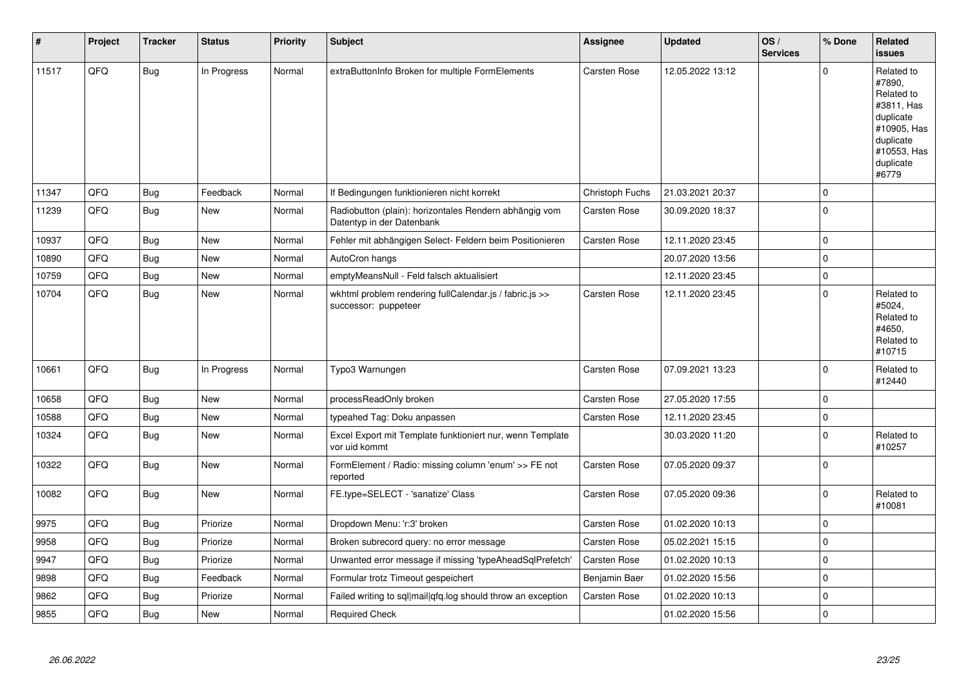| #     | Project | <b>Tracker</b> | <b>Status</b> | <b>Priority</b> | <b>Subject</b>                                                                      | <b>Assignee</b>     | <b>Updated</b>   | OS/<br><b>Services</b> | % Done      | Related<br><b>issues</b>                                                                                                       |
|-------|---------|----------------|---------------|-----------------|-------------------------------------------------------------------------------------|---------------------|------------------|------------------------|-------------|--------------------------------------------------------------------------------------------------------------------------------|
| 11517 | QFQ     | <b>Bug</b>     | In Progress   | Normal          | extraButtonInfo Broken for multiple FormElements                                    | <b>Carsten Rose</b> | 12.05.2022 13:12 |                        | $\Omega$    | Related to<br>#7890,<br>Related to<br>#3811, Has<br>duplicate<br>#10905, Has<br>duplicate<br>#10553, Has<br>duplicate<br>#6779 |
| 11347 | QFQ     | <b>Bug</b>     | Feedback      | Normal          | If Bedingungen funktionieren nicht korrekt                                          | Christoph Fuchs     | 21.03.2021 20:37 |                        | $\Omega$    |                                                                                                                                |
| 11239 | QFQ     | <b>Bug</b>     | <b>New</b>    | Normal          | Radiobutton (plain): horizontales Rendern abhängig vom<br>Datentyp in der Datenbank | <b>Carsten Rose</b> | 30.09.2020 18:37 |                        | $\Omega$    |                                                                                                                                |
| 10937 | QFQ     | Bug            | <b>New</b>    | Normal          | Fehler mit abhängigen Select- Feldern beim Positionieren                            | <b>Carsten Rose</b> | 12.11.2020 23:45 |                        | $\mathbf 0$ |                                                                                                                                |
| 10890 | QFQ     | Bug            | <b>New</b>    | Normal          | AutoCron hangs                                                                      |                     | 20.07.2020 13:56 |                        | 0           |                                                                                                                                |
| 10759 | QFQ     | <b>Bug</b>     | <b>New</b>    | Normal          | emptyMeansNull - Feld falsch aktualisiert                                           |                     | 12.11.2020 23:45 |                        | $\Omega$    |                                                                                                                                |
| 10704 | QFQ     | Bug            | <b>New</b>    | Normal          | wkhtml problem rendering fullCalendar.js / fabric.js >><br>successor: puppeteer     | Carsten Rose        | 12.11.2020 23:45 |                        | $\Omega$    | Related to<br>#5024,<br>Related to<br>#4650.<br>Related to<br>#10715                                                           |
| 10661 | QFQ     | Bug            | In Progress   | Normal          | Typo3 Warnungen                                                                     | <b>Carsten Rose</b> | 07.09.2021 13:23 |                        | $\Omega$    | Related to<br>#12440                                                                                                           |
| 10658 | QFQ     | <b>Bug</b>     | <b>New</b>    | Normal          | processReadOnly broken                                                              | Carsten Rose        | 27.05.2020 17:55 |                        | 0           |                                                                                                                                |
| 10588 | QFQ     | <b>Bug</b>     | New           | Normal          | typeahed Tag: Doku anpassen                                                         | Carsten Rose        | 12.11.2020 23:45 |                        | $\mathbf 0$ |                                                                                                                                |
| 10324 | QFQ     | Bug            | <b>New</b>    | Normal          | Excel Export mit Template funktioniert nur, wenn Template<br>vor uid kommt          |                     | 30.03.2020 11:20 |                        | $\Omega$    | Related to<br>#10257                                                                                                           |
| 10322 | QFQ     | <b>Bug</b>     | <b>New</b>    | Normal          | FormElement / Radio: missing column 'enum' >> FE not<br>reported                    | <b>Carsten Rose</b> | 07.05.2020 09:37 |                        | $\mathbf 0$ |                                                                                                                                |
| 10082 | QFQ     | <b>Bug</b>     | New           | Normal          | FE.type=SELECT - 'sanatize' Class                                                   | Carsten Rose        | 07.05.2020 09:36 |                        | $\Omega$    | Related to<br>#10081                                                                                                           |
| 9975  | QFQ     | <b>Bug</b>     | Priorize      | Normal          | Dropdown Menu: 'r:3' broken                                                         | <b>Carsten Rose</b> | 01.02.2020 10:13 |                        | 0           |                                                                                                                                |
| 9958  | QFQ     | <b>Bug</b>     | Priorize      | Normal          | Broken subrecord query: no error message                                            | <b>Carsten Rose</b> | 05.02.2021 15:15 |                        | $\mathbf 0$ |                                                                                                                                |
| 9947  | QFQ     | <b>Bug</b>     | Priorize      | Normal          | Unwanted error message if missing 'typeAheadSqlPrefetch'                            | <b>Carsten Rose</b> | 01.02.2020 10:13 |                        | 0           |                                                                                                                                |
| 9898  | QFQ     | <b>Bug</b>     | Feedback      | Normal          | Formular trotz Timeout gespeichert                                                  | Benjamin Baer       | 01.02.2020 15:56 |                        | $\Omega$    |                                                                                                                                |
| 9862  | QFQ     | Bug            | Priorize      | Normal          | Failed writing to sql mail qfq.log should throw an exception                        | <b>Carsten Rose</b> | 01.02.2020 10:13 |                        | $\Omega$    |                                                                                                                                |
| 9855  | QFQ     | <b>Bug</b>     | <b>New</b>    | Normal          | <b>Required Check</b>                                                               |                     | 01.02.2020 15:56 |                        | 0           |                                                                                                                                |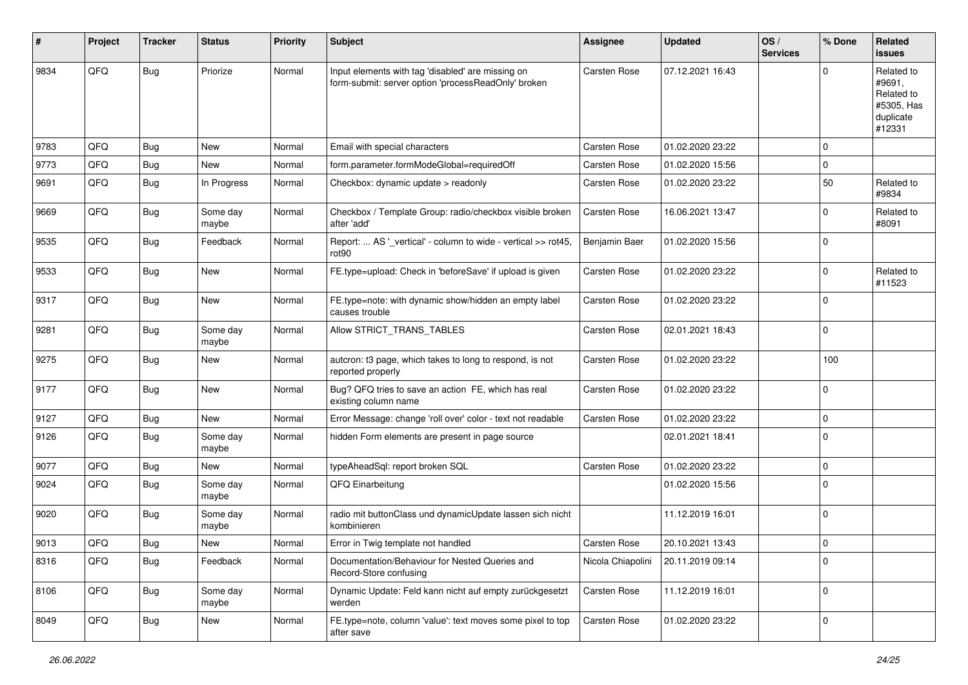| #    | Project | <b>Tracker</b> | <b>Status</b>     | <b>Priority</b> | Subject                                                                                                  | Assignee          | <b>Updated</b>   | OS/<br><b>Services</b> | % Done      | Related<br>issues                                                       |
|------|---------|----------------|-------------------|-----------------|----------------------------------------------------------------------------------------------------------|-------------------|------------------|------------------------|-------------|-------------------------------------------------------------------------|
| 9834 | QFQ     | Bug            | Priorize          | Normal          | Input elements with tag 'disabled' are missing on<br>form-submit: server option 'processReadOnly' broken | Carsten Rose      | 07.12.2021 16:43 |                        | $\Omega$    | Related to<br>#9691,<br>Related to<br>#5305, Has<br>duplicate<br>#12331 |
| 9783 | QFQ     | <b>Bug</b>     | <b>New</b>        | Normal          | Email with special characters                                                                            | Carsten Rose      | 01.02.2020 23:22 |                        | $\mathbf 0$ |                                                                         |
| 9773 | QFQ     | <b>Bug</b>     | New               | Normal          | form.parameter.formModeGlobal=requiredOff                                                                | Carsten Rose      | 01.02.2020 15:56 |                        | $\mathbf 0$ |                                                                         |
| 9691 | QFQ     | Bug            | In Progress       | Normal          | Checkbox: dynamic update > readonly                                                                      | Carsten Rose      | 01.02.2020 23:22 |                        | 50          | Related to<br>#9834                                                     |
| 9669 | QFQ     | Bug            | Some day<br>maybe | Normal          | Checkbox / Template Group: radio/checkbox visible broken<br>after 'add'                                  | Carsten Rose      | 16.06.2021 13:47 |                        | $\mathbf 0$ | Related to<br>#8091                                                     |
| 9535 | QFQ     | Bug            | Feedback          | Normal          | Report:  AS '_vertical' - column to wide - vertical >> rot45,<br>rot <sub>90</sub>                       | Benjamin Baer     | 01.02.2020 15:56 |                        | $\mathbf 0$ |                                                                         |
| 9533 | QFQ     | <b>Bug</b>     | New               | Normal          | FE.type=upload: Check in 'beforeSave' if upload is given                                                 | Carsten Rose      | 01.02.2020 23:22 |                        | $\mathbf 0$ | Related to<br>#11523                                                    |
| 9317 | QFQ     | Bug            | <b>New</b>        | Normal          | FE.type=note: with dynamic show/hidden an empty label<br>causes trouble                                  | Carsten Rose      | 01.02.2020 23:22 |                        | $\mathbf 0$ |                                                                         |
| 9281 | QFQ     | <b>Bug</b>     | Some day<br>maybe | Normal          | Allow STRICT_TRANS_TABLES                                                                                | Carsten Rose      | 02.01.2021 18:43 |                        | $\mathbf 0$ |                                                                         |
| 9275 | QFQ     | Bug            | New               | Normal          | autcron: t3 page, which takes to long to respond, is not<br>reported properly                            | Carsten Rose      | 01.02.2020 23:22 |                        | 100         |                                                                         |
| 9177 | QFQ     | Bug            | <b>New</b>        | Normal          | Bug? QFQ tries to save an action FE, which has real<br>existing column name                              | Carsten Rose      | 01.02.2020 23:22 |                        | $\pmb{0}$   |                                                                         |
| 9127 | QFQ     | Bug            | <b>New</b>        | Normal          | Error Message: change 'roll over' color - text not readable                                              | Carsten Rose      | 01.02.2020 23:22 |                        | 0           |                                                                         |
| 9126 | QFQ     | <b>Bug</b>     | Some day<br>maybe | Normal          | hidden Form elements are present in page source                                                          |                   | 02.01.2021 18:41 |                        | $\mathbf 0$ |                                                                         |
| 9077 | QFQ     | <b>Bug</b>     | New               | Normal          | typeAheadSql: report broken SQL                                                                          | Carsten Rose      | 01.02.2020 23:22 |                        | $\pmb{0}$   |                                                                         |
| 9024 | QFQ     | Bug            | Some day<br>maybe | Normal          | QFQ Einarbeitung                                                                                         |                   | 01.02.2020 15:56 |                        | $\mathbf 0$ |                                                                         |
| 9020 | QFQ     | Bug            | Some day<br>maybe | Normal          | radio mit buttonClass und dynamicUpdate lassen sich nicht<br>kombinieren                                 |                   | 11.12.2019 16:01 |                        | $\mathbf 0$ |                                                                         |
| 9013 | QFQ     | <b>Bug</b>     | New               | Normal          | Error in Twig template not handled                                                                       | Carsten Rose      | 20.10.2021 13:43 |                        | $\mathbf 0$ |                                                                         |
| 8316 | QFQ     | Bug            | Feedback          | Normal          | Documentation/Behaviour for Nested Queries and<br>Record-Store confusing                                 | Nicola Chiapolini | 20.11.2019 09:14 |                        | $\pmb{0}$   |                                                                         |
| 8106 | QFQ     | Bug            | Some day<br>maybe | Normal          | Dynamic Update: Feld kann nicht auf empty zurückgesetzt<br>werden                                        | Carsten Rose      | 11.12.2019 16:01 |                        | $\mathbf 0$ |                                                                         |
| 8049 | QFQ     | Bug            | New               | Normal          | FE.type=note, column 'value': text moves some pixel to top<br>after save                                 | Carsten Rose      | 01.02.2020 23:22 |                        | 0           |                                                                         |